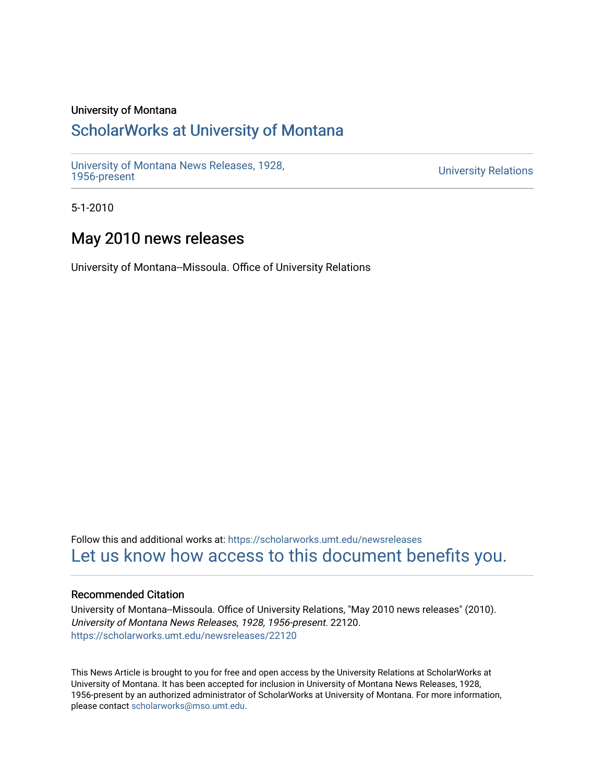# University of Montana

# [ScholarWorks at University of Montana](https://scholarworks.umt.edu/)

[University of Montana News Releases, 1928,](https://scholarworks.umt.edu/newsreleases) 

**University Relations** 

5-1-2010

# May 2010 news releases

University of Montana--Missoula. Office of University Relations

Follow this and additional works at: [https://scholarworks.umt.edu/newsreleases](https://scholarworks.umt.edu/newsreleases?utm_source=scholarworks.umt.edu%2Fnewsreleases%2F22120&utm_medium=PDF&utm_campaign=PDFCoverPages) [Let us know how access to this document benefits you.](https://goo.gl/forms/s2rGfXOLzz71qgsB2) 

# Recommended Citation

University of Montana--Missoula. Office of University Relations, "May 2010 news releases" (2010). University of Montana News Releases, 1928, 1956-present. 22120. [https://scholarworks.umt.edu/newsreleases/22120](https://scholarworks.umt.edu/newsreleases/22120?utm_source=scholarworks.umt.edu%2Fnewsreleases%2F22120&utm_medium=PDF&utm_campaign=PDFCoverPages) 

This News Article is brought to you for free and open access by the University Relations at ScholarWorks at University of Montana. It has been accepted for inclusion in University of Montana News Releases, 1928, 1956-present by an authorized administrator of ScholarWorks at University of Montana. For more information, please contact [scholarworks@mso.umt.edu.](mailto:scholarworks@mso.umt.edu)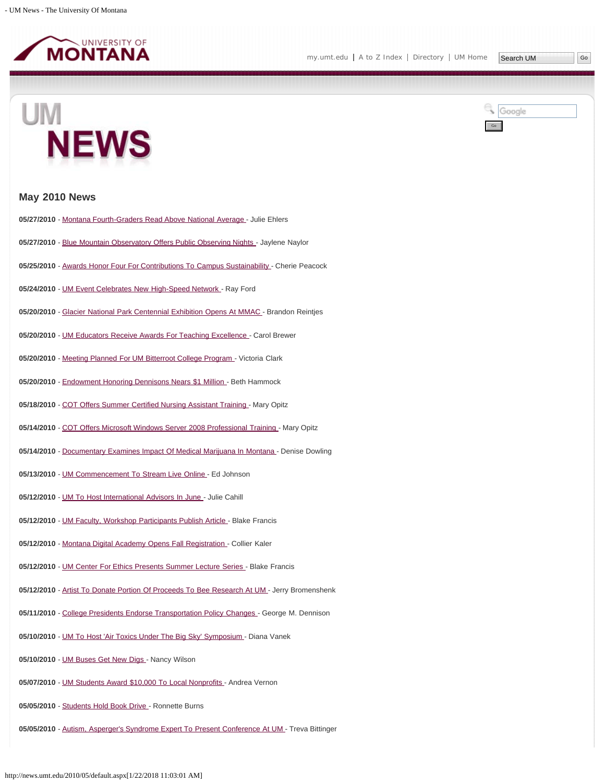





# **May 2010 News**

- 05/27/2010 - [Montana Fourth-Graders Read Above National Average](#page-3-0)  Julie Ehlers
- 05/27/2010 - [Blue Mountain Observatory Offers Public Observing Nights](#page-5-0)  Jaylene Naylor
- 05/25/2010 - [Awards Honor Four For Contributions To Campus Sustainability](#page-6-0)  Cherie Peacock
- **05/24/2010** - [UM Event Celebrates New High-Speed Network -](#page-7-0) Ray Ford
- 05/20/2010 - [Glacier National Park Centennial Exhibition Opens At MMAC -](#page-8-0) Brandon Reintjes
- 05/20/2010 - [UM Educators Receive Awards For Teaching Excellence](#page-10-0)  Carol Brewer
- 05/20/2010 - [Meeting Planned For UM Bitterroot College Program](#page-11-0)  Victoria Clark
- 05/20/2010 - [Endowment Honoring Dennisons Nears \\$1 Million](#page-12-0)  Beth Hammock
- **05/18/2010** - [COT Offers Summer Certified Nursing Assistant Training -](#page-14-0) Mary Opitz
- 05/14/2010 - [COT Offers Microsoft Windows Server 2008 Professional Training -](#page-15-0) Mary Opitz
- 05/14/2010 - [Documentary Examines Impact Of Medical Marijuana In Montana -](#page-16-0) Denise Dowling
- 05/13/2010 - [UM Commencement To Stream Live Online -](#page-17-0) Ed Johnson
- **05/12/2010** - [UM To Host International Advisors In June](#page-18-0)  Julie Cahill
- 05/12/2010 - [UM Faculty, Workshop Participants Publish Article -](#page-19-0) Blake Francis
- 05/12/2010 - [Montana Digital Academy Opens Fall Registration](#page-20-0)  Collier Kaler
- 05/12/2010 - [UM Center For Ethics Presents Summer Lecture Series -](#page-22-0) Blake Francis
- 05/12/2010 - [Artist To Donate Portion Of Proceeds To Bee Research At UM](#page-23-0)  Jerry Bromenshenk
- 05/11/2010 - [College Presidents Endorse Transportation Policy Changes -](#page-24-0) George M. Dennison
- 05/10/2010 - [UM To Host 'Air Toxics Under The Big Sky' Symposium](#page-26-0)  Diana Vanek
- 05/10/2010 - [UM Buses Get New Digs](#page-27-0)  Nancy Wilson
- 05/07/2010 - [UM Students Award \\$10,000 To Local Nonprofits -](#page-29-0) Andrea Vernon
- 05/05/2010 - [Students Hold Book Drive -](#page-30-0) Ronnette Burns
- **05/05/2010** - [Autism, Asperger's Syndrome Expert To Present Conference At UM -](#page-31-0) Treva Bittinger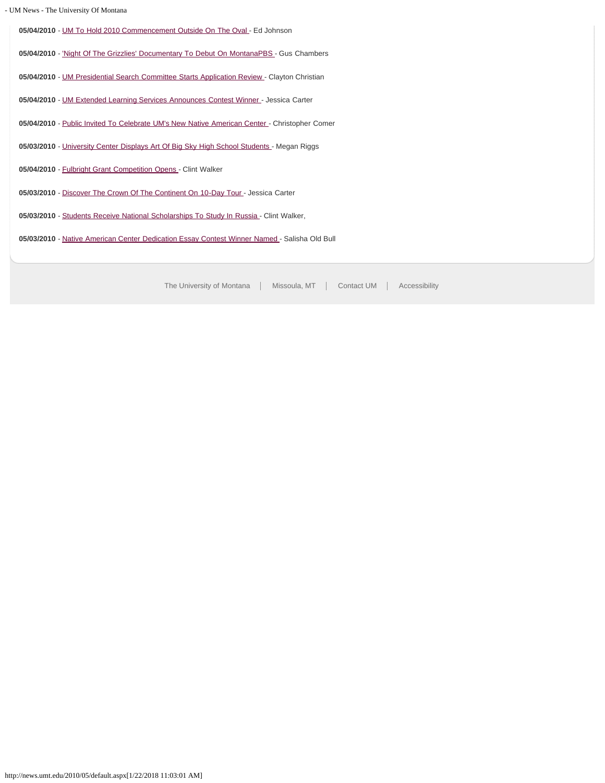|  |  | - UM News - The University Of Montana |
|--|--|---------------------------------------|

05/04/2010 - [UM To Hold 2010 Commencement Outside On The Oval](#page-32-0) - Ed Johnson

05/04/2010 - ['Night Of The Grizzlies' Documentary To Debut On MontanaPBS](#page-34-0) - Gus Chambers

- 05/04/2010 - [UM Presidential Search Committee Starts Application Review -](#page-35-0) Clayton Christian
- **05/04/2010** - [UM Extended Learning Services Announces Contest Winner -](#page-36-0) Jessica Carter
- 05/04/2010 - [Public Invited To Celebrate UM's New Native American Center -](#page-37-0) Christopher Comer
- **05/03/2010** - [University Center Displays Art Of Big Sky High School Students](#page-39-0)  Megan Riggs
- 05/04/2010 - [Fulbright Grant Competition Opens -](#page-40-0) Clint Walker
- **05/03/2010** - [Discover The Crown Of The Continent On 10-Day Tour -](#page-41-0) Jessica Carter
- 05/03/2010 - [Students Receive National Scholarships To Study In Russia -](#page-42-0) Clint Walker,
- **05/03/2010** - [Native American Center Dedication Essay Contest Winner Named](#page-43-0)  Salisha Old Bull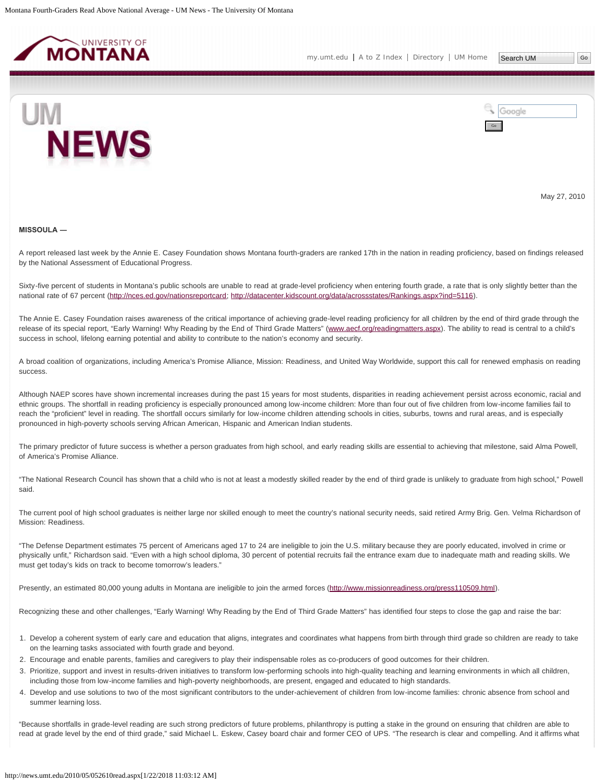<span id="page-3-0"></span>



May 27, 2010

#### **MISSOULA ―**

A report released last week by the Annie E. Casey Foundation shows Montana fourth-graders are ranked 17th in the nation in reading proficiency, based on findings released by the National Assessment of Educational Progress.

Sixty-five percent of students in Montana's public schools are unable to read at grade-level proficiency when entering fourth grade, a rate that is only slightly better than the national rate of 67 percent [\(http://nces.ed.gov/nationsreportcard](http://nces.ed.gov/nationsreportcard); <http://datacenter.kidscount.org/data/acrossstates/Rankings.aspx?ind=5116>).

The Annie E. Casey Foundation raises awareness of the critical importance of achieving grade-level reading proficiency for all children by the end of third grade through the release of its special report, "Early Warning! Why Reading by the End of Third Grade Matters" [\(www.aecf.org/readingmatters.aspx](http://news.umt.edu/2010/05/www.aecf.org/readingmatters.aspx)). The ability to read is central to a child's success in school, lifelong earning potential and ability to contribute to the nation's economy and security.

A broad coalition of organizations, including America's Promise Alliance, Mission: Readiness, and United Way Worldwide, support this call for renewed emphasis on reading success.

Although NAEP scores have shown incremental increases during the past 15 years for most students, disparities in reading achievement persist across economic, racial and ethnic groups. The shortfall in reading proficiency is especially pronounced among low-income children: More than four out of five children from low-income families fail to reach the "proficient" level in reading. The shortfall occurs similarly for low-income children attending schools in cities, suburbs, towns and rural areas, and is especially pronounced in high-poverty schools serving African American, Hispanic and American Indian students.

The primary predictor of future success is whether a person graduates from high school, and early reading skills are essential to achieving that milestone, said Alma Powell, of America's Promise Alliance.

"The National Research Council has shown that a child who is not at least a modestly skilled reader by the end of third grade is unlikely to graduate from high school," Powell said.

The current pool of high school graduates is neither large nor skilled enough to meet the country's national security needs, said retired Army Brig. Gen. Velma Richardson of Mission: Readiness.

"The Defense Department estimates 75 percent of Americans aged 17 to 24 are ineligible to join the U.S. military because they are poorly educated, involved in crime or physically unfit," Richardson said. "Even with a high school diploma, 30 percent of potential recruits fail the entrance exam due to inadequate math and reading skills. We must get today's kids on track to become tomorrow's leaders."

Presently, an estimated 80,000 young adults in Montana are ineligible to join the armed forces ([http://www.missionreadiness.org/press110509.html\)](http://www.missionreadiness.org/press110509.html).

Recognizing these and other challenges, "Early Warning! Why Reading by the End of Third Grade Matters" has identified four steps to close the gap and raise the bar:

- 1. Develop a coherent system of early care and education that aligns, integrates and coordinates what happens from birth through third grade so children are ready to take on the learning tasks associated with fourth grade and beyond.
- 2. Encourage and enable parents, families and caregivers to play their indispensable roles as co-producers of good outcomes for their children.
- 3. Prioritize, support and invest in results-driven initiatives to transform low-performing schools into high-quality teaching and learning environments in which all children, including those from low-income families and high-poverty neighborhoods, are present, engaged and educated to high standards.
- 4. Develop and use solutions to two of the most significant contributors to the under-achievement of children from low-income families: chronic absence from school and summer learning loss.

"Because shortfalls in grade-level reading are such strong predictors of future problems, philanthropy is putting a stake in the ground on ensuring that children are able to read at grade level by the end of third grade," said Michael L. Eskew, Casey board chair and former CEO of UPS. "The research is clear and compelling. And it affirms what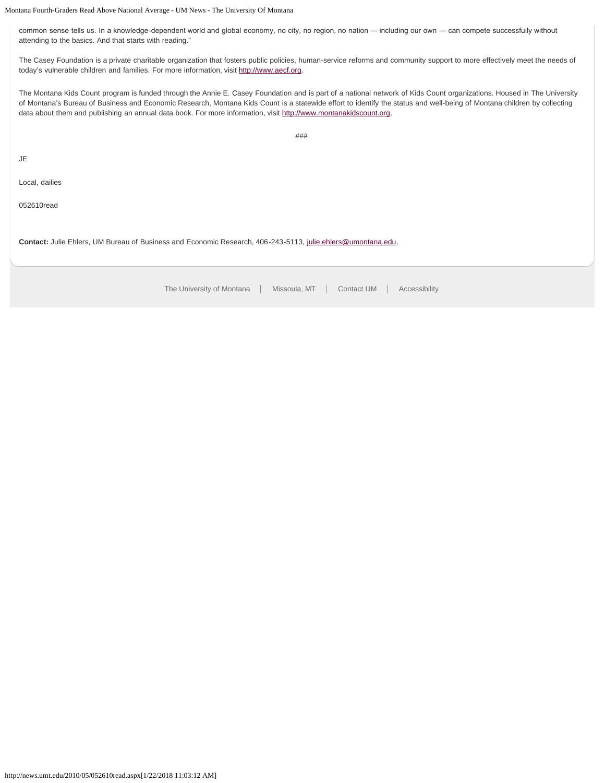Montana Fourth-Graders Read Above National Average - UM News - The University Of Montana

common sense tells us. In a knowledge-dependent world and global economy, no city, no region, no nation — including our own — can compete successfully without attending to the basics. And that starts with reading."

The Casey Foundation is a private charitable organization that fosters public policies, human-service reforms and community support to more effectively meet the needs of today's vulnerable children and families. For more information, visit [http://www.aecf.org](http://www.aecf.org/).

The Montana Kids Count program is funded through the Annie E. Casey Foundation and is part of a national network of Kids Count organizations. Housed in The University of Montana's Bureau of Business and Economic Research, Montana Kids Count is a statewide effort to identify the status and well-being of Montana children by collecting data about them and publishing an annual data book. For more information, visit [http://www.montanakidscount.org.](http://www.montanakidscount.org/)

###

JE

Local, dailies

052610read

**Contact:** Julie Ehlers, UM Bureau of Business and Economic Research, 406-243-5113, [julie.ehlers@umontana.edu.](mailto:julie.ehlers@umontana.edu)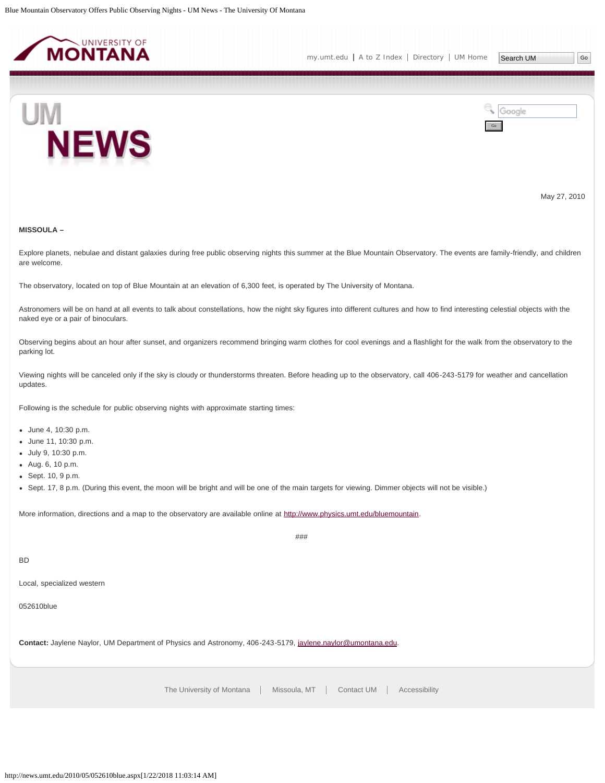<span id="page-5-0"></span>



May 27, 2010

# **MISSOULA –**

Explore planets, nebulae and distant galaxies during free public observing nights this summer at the Blue Mountain Observatory. The events are family-friendly, and children are welcome.

The observatory, located on top of Blue Mountain at an elevation of 6,300 feet, is operated by The University of Montana.

Astronomers will be on hand at all events to talk about constellations, how the night sky figures into different cultures and how to find interesting celestial objects with the naked eye or a pair of binoculars.

Observing begins about an hour after sunset, and organizers recommend bringing warm clothes for cool evenings and a flashlight for the walk from the observatory to the parking lot.

Viewing nights will be canceled only if the sky is cloudy or thunderstorms threaten. Before heading up to the observatory, call 406-243-5179 for weather and cancellation updates.

Following is the schedule for public observing nights with approximate starting times:

- June 4, 10:30 p.m.
- June 11, 10:30 p.m.
- July 9, 10:30 p.m.
- Aug. 6, 10 p.m.
- Sept. 10, 9 p.m.
- Sept. 17, 8 p.m. (During this event, the moon will be bright and will be one of the main targets for viewing. Dimmer objects will not be visible.)

More information, directions and a map to the observatory are available online at<http://www.physics.umt.edu/bluemountain>.

###

# BD

Local, specialized western

052610blue

**Contact:** Jaylene Naylor, UM Department of Physics and Astronomy, 406-243-5179, [jaylene.naylor@umontana.edu](mailto:jaylene.naylor@umontana.edu).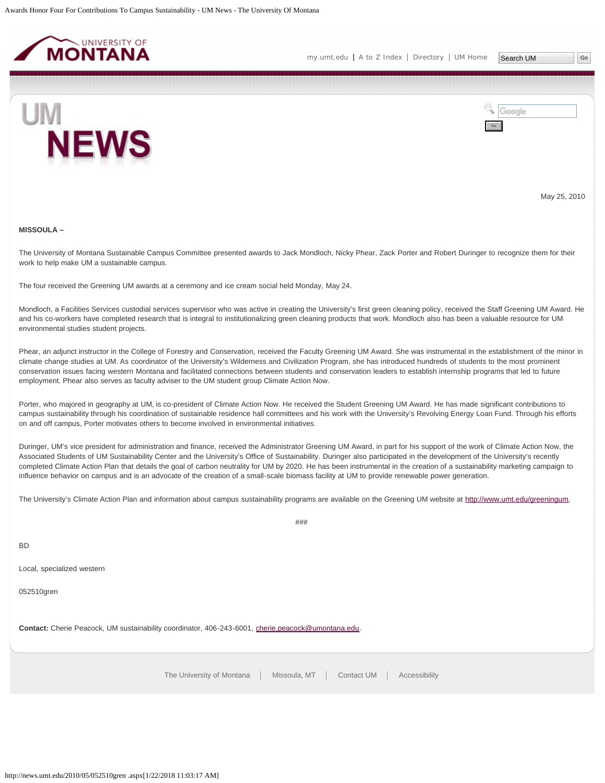<span id="page-6-0"></span>



May 25, 2010

#### **MISSOULA –**

The University of Montana Sustainable Campus Committee presented awards to Jack Mondloch, Nicky Phear, Zack Porter and Robert Duringer to recognize them for their work to help make UM a sustainable campus.

The four received the Greening UM awards at a ceremony and ice cream social held Monday, May 24.

Mondloch, a Facilities Services custodial services supervisor who was active in creating the University's first green cleaning policy, received the Staff Greening UM Award. He and his co-workers have completed research that is integral to institutionalizing green cleaning products that work. Mondloch also has been a valuable resource for UM environmental studies student projects.

Phear, an adjunct instructor in the College of Forestry and Conservation, received the Faculty Greening UM Award. She was instrumental in the establishment of the minor in climate change studies at UM. As coordinator of the University's Wilderness and Civilization Program, she has introduced hundreds of students to the most prominent conservation issues facing western Montana and facilitated connections between students and conservation leaders to establish internship programs that led to future employment. Phear also serves as faculty adviser to the UM student group Climate Action Now.

Porter, who majored in geography at UM, is co-president of Climate Action Now. He received the Student Greening UM Award. He has made significant contributions to campus sustainability through his coordination of sustainable residence hall committees and his work with the University's Revolving Energy Loan Fund. Through his efforts on and off campus, Porter motivates others to become involved in environmental initiatives.

Duringer, UM's vice president for administration and finance, received the Administrator Greening UM Award, in part for his support of the work of Climate Action Now, the Associated Students of UM Sustainability Center and the University's Office of Sustainability. Duringer also participated in the development of the University's recently completed Climate Action Plan that details the goal of carbon neutrality for UM by 2020. He has been instrumental in the creation of a sustainability marketing campaign to influence behavior on campus and is an advocate of the creation of a small-scale biomass facility at UM to provide renewable power generation.

The University's Climate Action Plan and information about campus sustainability programs are available on the Greening UM website at [http://www.umt.edu/greeningum.](http://www.umt.edu/greeningum)

###

BD

Local, specialized western

052510gren

**Contact:** Cherie Peacock, UM sustainability coordinator, 406-243-6001, [cherie.peacock@umontana.edu.](mailto:cherie.peacock@umontana.edu)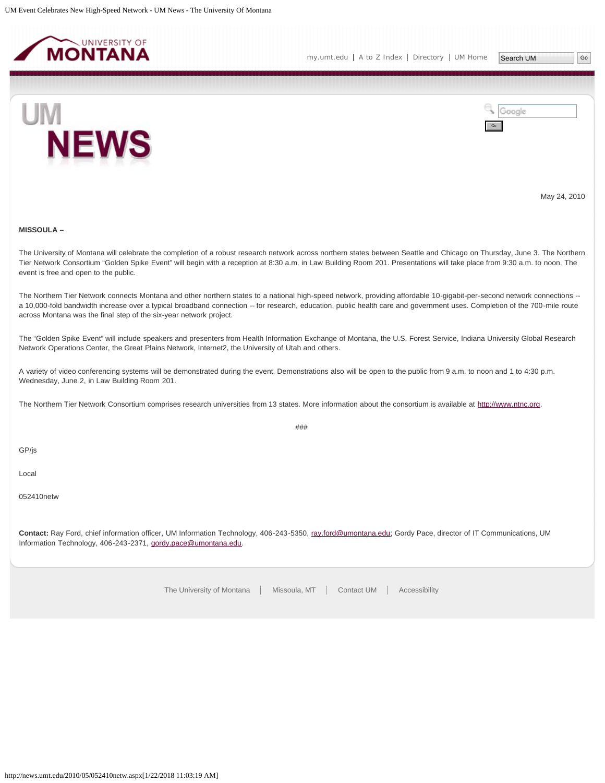<span id="page-7-0"></span>



May 24, 2010

# **MISSOULA –**

The University of Montana will celebrate the completion of a robust research network across northern states between Seattle and Chicago on Thursday, June 3. The Northern Tier Network Consortium "Golden Spike Event" will begin with a reception at 8:30 a.m. in Law Building Room 201. Presentations will take place from 9:30 a.m. to noon. The event is free and open to the public.

The Northern Tier Network connects Montana and other northern states to a national high-speed network, providing affordable 10-gigabit-per-second network connections -a 10,000-fold bandwidth increase over a typical broadband connection -- for research, education, public health care and government uses. Completion of the 700-mile route across Montana was the final step of the six-year network project.

The "Golden Spike Event" will include speakers and presenters from Health Information Exchange of Montana, the U.S. Forest Service, Indiana University Global Research Network Operations Center, the Great Plains Network, Internet2, the University of Utah and others.

###

A variety of video conferencing systems will be demonstrated during the event. Demonstrations also will be open to the public from 9 a.m. to noon and 1 to 4:30 p.m. Wednesday, June 2, in Law Building Room 201.

The Northern Tier Network Consortium comprises research universities from 13 states. More information about the consortium is available at [http://www.ntnc.org](http://www.ntnc.org/).

GP/js

Local

052410netw

**Contact:** Ray Ford, chief information officer, UM Information Technology, 406-243-5350, [ray.ford@umontana.edu](mailto:ray.ford@umontana.edu); Gordy Pace, director of IT Communications, UM Information Technology, 406-243-2371, [gordy.pace@umontana.edu.](mailto:gordy.pace@umontana.edu)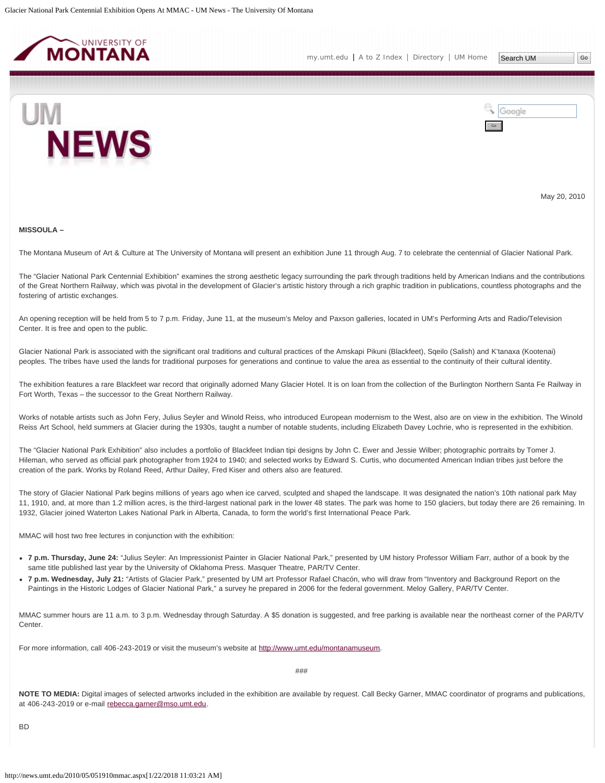<span id="page-8-0"></span>



May 20, 2010

#### **MISSOULA –**

The Montana Museum of Art & Culture at The University of Montana will present an exhibition June 11 through Aug. 7 to celebrate the centennial of Glacier National Park.

The "Glacier National Park Centennial Exhibition" examines the strong aesthetic legacy surrounding the park through traditions held by American Indians and the contributions of the Great Northern Railway, which was pivotal in the development of Glacier's artistic history through a rich graphic tradition in publications, countless photographs and the fostering of artistic exchanges.

An opening reception will be held from 5 to 7 p.m. Friday, June 11, at the museum's Meloy and Paxson galleries, located in UM's Performing Arts and Radio/Television Center. It is free and open to the public.

Glacier National Park is associated with the significant oral traditions and cultural practices of the Amskapi Pikuni (Blackfeet), Sqeilo (Salish) and K'tanaxa (Kootenai) peoples. The tribes have used the lands for traditional purposes for generations and continue to value the area as essential to the continuity of their cultural identity.

The exhibition features a rare Blackfeet war record that originally adorned Many Glacier Hotel. It is on loan from the collection of the Burlington Northern Santa Fe Railway in Fort Worth, Texas – the successor to the Great Northern Railway.

Works of notable artists such as John Fery, Julius Seyler and Winold Reiss, who introduced European modernism to the West, also are on view in the exhibition. The Winold Reiss Art School, held summers at Glacier during the 1930s, taught a number of notable students, including Elizabeth Davey Lochrie, who is represented in the exhibition.

The "Glacier National Park Exhibition" also includes a portfolio of Blackfeet Indian tipi designs by John C. Ewer and Jessie Wilber; photographic portraits by Tomer J. Hileman, who served as official park photographer from 1924 to 1940; and selected works by Edward S. Curtis, who documented American Indian tribes just before the creation of the park. Works by Roland Reed, Arthur Dailey, Fred Kiser and others also are featured.

The story of Glacier National Park begins millions of years ago when ice carved, sculpted and shaped the landscape. It was designated the nation's 10th national park May 11, 1910, and, at more than 1.2 million acres, is the third-largest national park in the lower 48 states. The park was home to 150 glaciers, but today there are 26 remaining. In 1932, Glacier joined Waterton Lakes National Park in Alberta, Canada, to form the world's first International Peace Park.

MMAC will host two free lectures in conjunction with the exhibition:

- **7 p.m. Thursday, June 24:** "Julius Seyler: An Impressionist Painter in Glacier National Park," presented by UM history Professor William Farr, author of a book by the same title published last year by the University of Oklahoma Press. Masquer Theatre, PAR/TV Center.
- **7 p.m. Wednesday, July 21:** "Artists of Glacier Park," presented by UM art Professor Rafael Chacón, who will draw from "Inventory and Background Report on the Paintings in the Historic Lodges of Glacier National Park," a survey he prepared in 2006 for the federal government. Meloy Gallery, PAR/TV Center.

MMAC summer hours are 11 a.m. to 3 p.m. Wednesday through Saturday. A \$5 donation is suggested, and free parking is available near the northeast corner of the PAR/TV Center.

For more information, call 406-243-2019 or visit the museum's website at [http://www.umt.edu/montanamuseum.](http://www.umt.edu/montanamuseum)

###

**NOTE TO MEDIA:** Digital images of selected artworks included in the exhibition are available by request. Call Becky Garner, MMAC coordinator of programs and publications, at 406-243-2019 or e-mail [rebecca.garner@mso.umt.edu](mailto:rebecca.garner@mso.umt.edu).

**BD**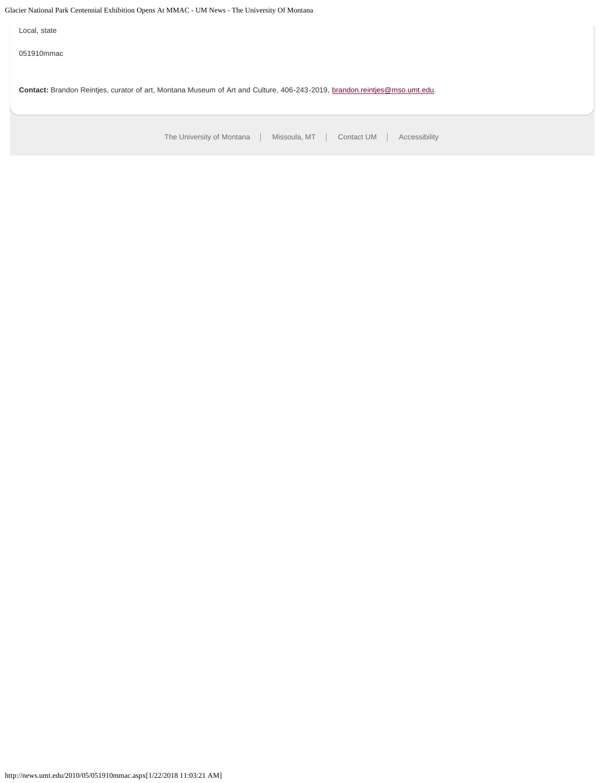Glacier National Park Centennial Exhibition Opens At MMAC - UM News - The University Of Montana

Local, state

051910mmac

**Contact:** Brandon Reintjes, curator of art, Montana Museum of Art and Culture, 406-243-2019, [brandon.reintjes@mso.umt.edu.](mailto:brandon.reintjes@mso.umt.edu)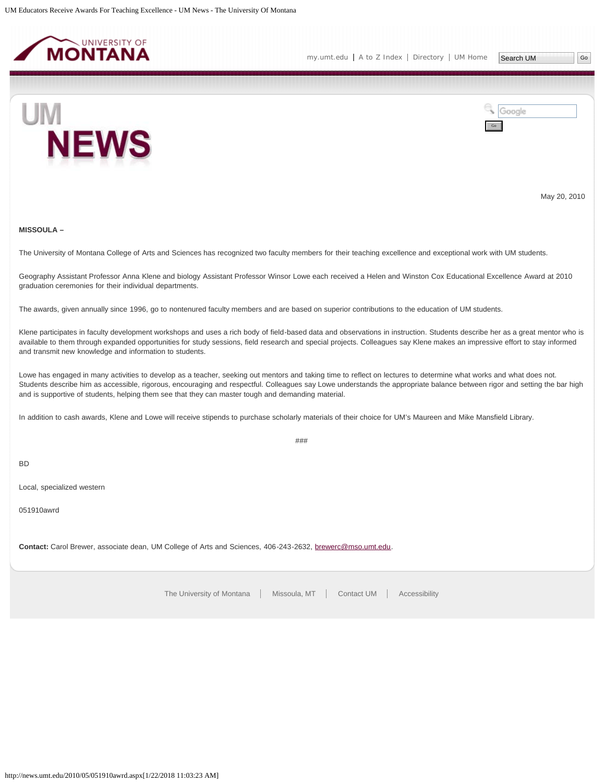<span id="page-10-0"></span>



May 20, 2010

# **MISSOULA –**

The University of Montana College of Arts and Sciences has recognized two faculty members for their teaching excellence and exceptional work with UM students.

Geography Assistant Professor Anna Klene and biology Assistant Professor Winsor Lowe each received a Helen and Winston Cox Educational Excellence Award at 2010 graduation ceremonies for their individual departments.

The awards, given annually since 1996, go to nontenured faculty members and are based on superior contributions to the education of UM students.

Klene participates in faculty development workshops and uses a rich body of field-based data and observations in instruction. Students describe her as a great mentor who is available to them through expanded opportunities for study sessions, field research and special projects. Colleagues say Klene makes an impressive effort to stay informed and transmit new knowledge and information to students.

Lowe has engaged in many activities to develop as a teacher, seeking out mentors and taking time to reflect on lectures to determine what works and what does not. Students describe him as accessible, rigorous, encouraging and respectful. Colleagues say Lowe understands the appropriate balance between rigor and setting the bar high and is supportive of students, helping them see that they can master tough and demanding material.

In addition to cash awards, Klene and Lowe will receive stipends to purchase scholarly materials of their choice for UM's Maureen and Mike Mansfield Library.

###

BD

Local, specialized western

051910awrd

**Contact:** Carol Brewer, associate dean, UM College of Arts and Sciences, 406-243-2632, [brewerc@mso.umt.edu.](mailto:brewerc@mso.umt.edu)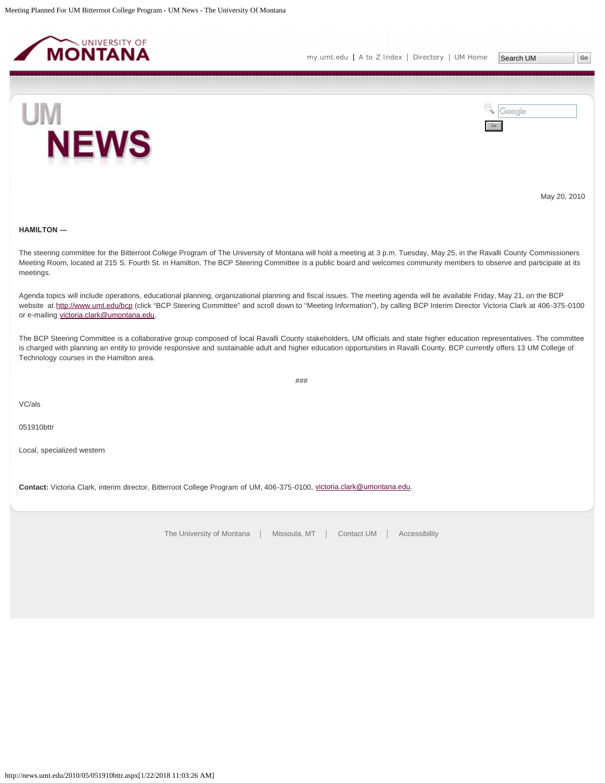<span id="page-11-0"></span>



May 20, 2010

### **HAMILTON ―**

The steering committee for the Bitterroot College Program of The University of Montana will hold a meeting at 3 p.m. Tuesday, May 25, in the Ravalli County Commissioners Meeting Room, located at 215 S. Fourth St. in Hamilton. The BCP Steering Committee is a public board and welcomes community members to observe and participate at its meetings.

Agenda topics will include operations, educational planning, organizational planning and fiscal issues. The meeting agenda will be available Friday, May 21, on the BCP website at<http://www.umt.edu/bcp>(click "BCP Steering Committee" and scroll down to "Meeting Information"), by calling BCP Interim Director Victoria Clark at 406-375-0100 or e-mailing [victoria.clark@umontana.edu.](mailto:victoria.clark@umontana.edu)

The BCP Steering Committee is a collaborative group composed of local Ravalli County stakeholders, UM officials and state higher education representatives. The committee is charged with planning an entity to provide responsive and sustainable adult and higher education opportunities in Ravalli County. BCP currently offers 13 UM College of Technology courses in the Hamilton area.

###

VC/als

051910bttr

Local, specialized western

Contact: Victoria Clark, interim director, Bitterroot College Program of UM, 406-375-0100, [victoria.clark@umontana.edu](mailto:victoria.clark@umontana.edu).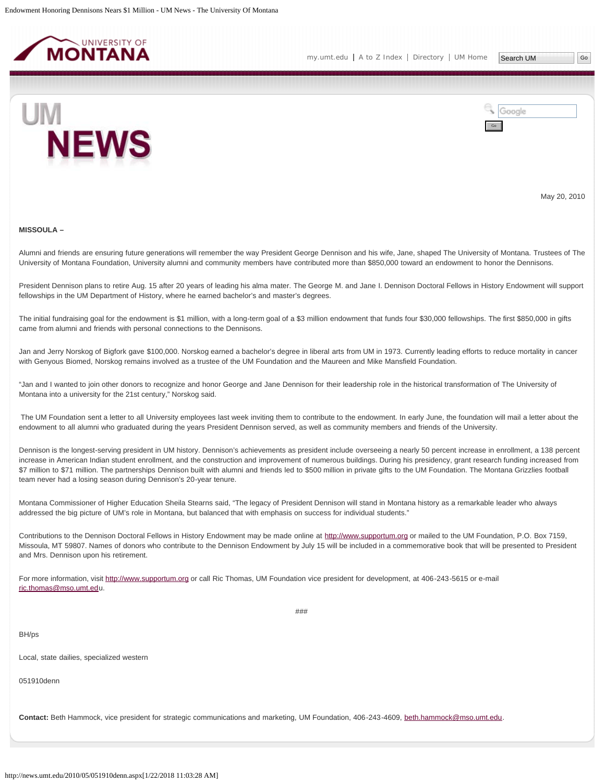<span id="page-12-0"></span>



May 20, 2010

#### **MISSOULA –**

Alumni and friends are ensuring future generations will remember the way President George Dennison and his wife, Jane, shaped The University of Montana. Trustees of The University of Montana Foundation, University alumni and community members have contributed more than \$850,000 toward an endowment to honor the Dennisons.

President Dennison plans to retire Aug. 15 after 20 years of leading his alma mater. The George M. and Jane I. Dennison Doctoral Fellows in History Endowment will support fellowships in the UM Department of History, where he earned bachelor's and master's degrees.

The initial fundraising goal for the endowment is \$1 million, with a long-term goal of a \$3 million endowment that funds four \$30,000 fellowships. The first \$850,000 in gifts came from alumni and friends with personal connections to the Dennisons.

Jan and Jerry Norskog of Bigfork gave \$100,000. Norskog earned a bachelor's degree in liberal arts from UM in 1973. Currently leading efforts to reduce mortality in cancer with Genyous Biomed, Norskog remains involved as a trustee of the UM Foundation and the Maureen and Mike Mansfield Foundation.

"Jan and I wanted to join other donors to recognize and honor George and Jane Dennison for their leadership role in the historical transformation of The University of Montana into a university for the 21st century," Norskog said.

The UM Foundation sent a letter to all University employees last week inviting them to contribute to the endowment. In early June, the foundation will mail a letter about the endowment to all alumni who graduated during the years President Dennison served, as well as community members and friends of the University.

Dennison is the longest-serving president in UM history. Dennison's achievements as president include overseeing a nearly 50 percent increase in enrollment, a 138 percent increase in American Indian student enrollment, and the construction and improvement of numerous buildings. During his presidency, grant research funding increased from \$7 million to \$71 million. The partnerships Dennison built with alumni and friends led to \$500 million in private gifts to the UM Foundation. The Montana Grizzlies football team never had a losing season during Dennison's 20-year tenure.

Montana Commissioner of Higher Education Sheila Stearns said, "The legacy of President Dennison will stand in Montana history as a remarkable leader who always addressed the big picture of UM's role in Montana, but balanced that with emphasis on success for individual students."

Contributions to the Dennison Doctoral Fellows in History Endowment may be made online at [http://www.supportum.org](http://www.supportum.org/) or mailed to the UM Foundation, P.O. Box 7159, Missoula, MT 59807. Names of donors who contribute to the Dennison Endowment by July 15 will be included in a commemorative book that will be presented to President and Mrs. Dennison upon his retirement.

###

For more information, visit [http://www.supportum.org](http://www.supportum.org/) or call Ric Thomas, UM Foundation vice president for development, at 406-243-5615 or e-mail [ric.thomas@mso.umt.edu](mailto:ric.thomas@mso.umt.ed).

BH/ps

Local, state dailies, specialized western

051910denn

**Contact:** Beth Hammock, vice president for strategic communications and marketing, UM Foundation, 406-243-4609, [beth.hammock@mso.umt.edu](mailto:beth.hammock@mso.umt.edu).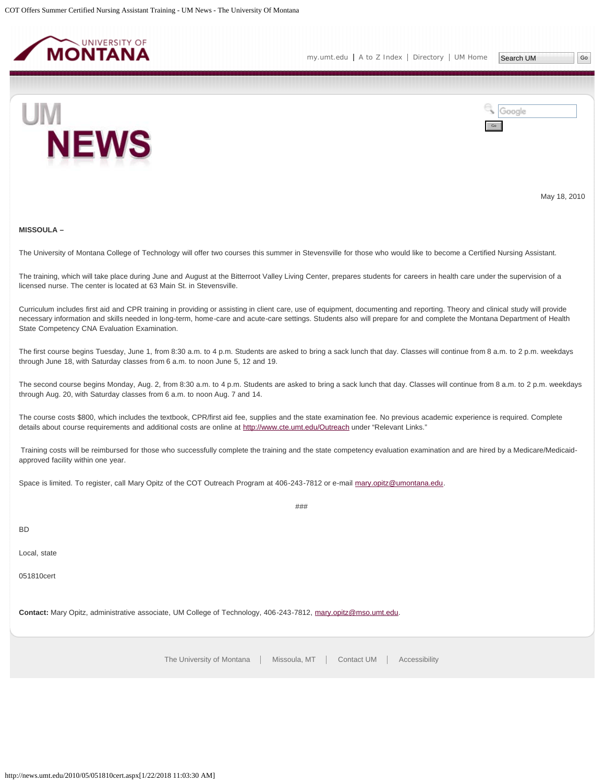<span id="page-14-0"></span>



May 18, 2010

#### **MISSOULA –**

The University of Montana College of Technology will offer two courses this summer in Stevensville for those who would like to become a Certified Nursing Assistant.

The training, which will take place during June and August at the Bitterroot Valley Living Center, prepares students for careers in health care under the supervision of a licensed nurse. The center is located at 63 Main St. in Stevensville.

Curriculum includes first aid and CPR training in providing or assisting in client care, use of equipment, documenting and reporting. Theory and clinical study will provide necessary information and skills needed in long-term, home-care and acute-care settings. Students also will prepare for and complete the Montana Department of Health State Competency CNA Evaluation Examination.

The first course begins Tuesday, June 1, from 8:30 a.m. to 4 p.m. Students are asked to bring a sack lunch that day. Classes will continue from 8 a.m. to 2 p.m. weekdays through June 18, with Saturday classes from 6 a.m. to noon June 5, 12 and 19.

The second course begins Monday, Aug. 2, from 8:30 a.m. to 4 p.m. Students are asked to bring a sack lunch that day. Classes will continue from 8 a.m. to 2 p.m. weekdays through Aug. 20, with Saturday classes from 6 a.m. to noon Aug. 7 and 14.

The course costs \$800, which includes the textbook, CPR/first aid fee, supplies and the state examination fee. No previous academic experience is required. Complete details about course requirements and additional costs are online at <http://www.cte.umt.edu/Outreach> under "Relevant Links."

Training costs will be reimbursed for those who successfully complete the training and the state competency evaluation examination and are hired by a Medicare/Medicaidapproved facility within one year.

###

Space is limited. To register, call Mary Opitz of the COT Outreach Program at 406-243-7812 or e-mail [mary.opitz@umontana.edu.](mailto:mary.opitz@umontana.edu)

BD

Local, state

051810cert

**Contact:** Mary Opitz, administrative associate, UM College of Technology, 406-243-7812, [mary.opitz@mso.umt.edu](mailto:mary.opitz@mso.umt.edu).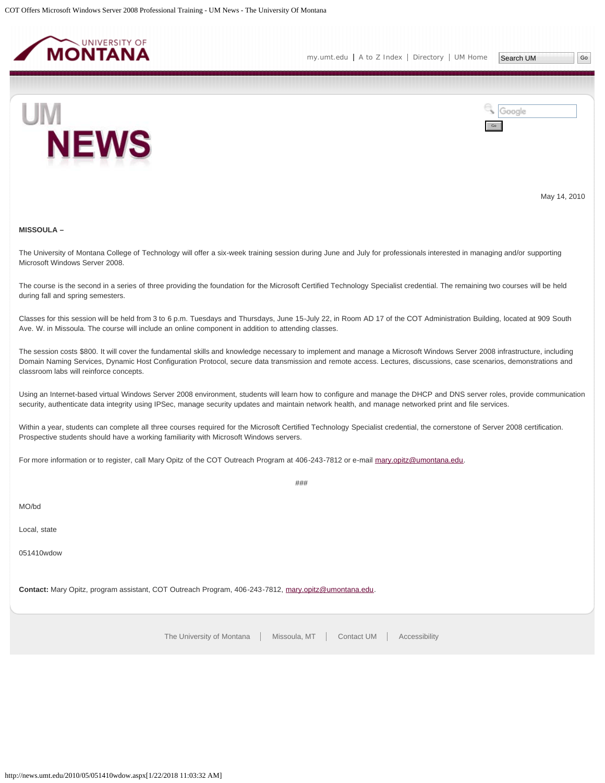<span id="page-15-0"></span>



May 14, 2010

#### **MISSOULA –**

The University of Montana College of Technology will offer a six-week training session during June and July for professionals interested in managing and/or supporting Microsoft Windows Server 2008.

The course is the second in a series of three providing the foundation for the Microsoft Certified Technology Specialist credential. The remaining two courses will be held during fall and spring semesters.

Classes for this session will be held from 3 to 6 p.m. Tuesdays and Thursdays, June 15-July 22, in Room AD 17 of the COT Administration Building, located at 909 South Ave. W. in Missoula. The course will include an online component in addition to attending classes.

The session costs \$800. It will cover the fundamental skills and knowledge necessary to implement and manage a Microsoft Windows Server 2008 infrastructure, including Domain Naming Services, Dynamic Host Configuration Protocol, secure data transmission and remote access. Lectures, discussions, case scenarios, demonstrations and classroom labs will reinforce concepts.

Using an Internet-based virtual Windows Server 2008 environment, students will learn how to configure and manage the DHCP and DNS server roles, provide communication security, authenticate data integrity using IPSec, manage security updates and maintain network health, and manage networked print and file services.

###

Within a year, students can complete all three courses required for the Microsoft Certified Technology Specialist credential, the cornerstone of Server 2008 certification. Prospective students should have a working familiarity with Microsoft Windows servers.

For more information or to register, call Mary Opitz of the COT Outreach Program at 406-243-7812 or e-mail [mary.opitz@umontana.edu](mailto:mary.opitz@umontana.edu).

MO/bd

Local, state

051410wdow

**Contact:** Mary Opitz, program assistant, COT Outreach Program, 406-243-7812, [mary.opitz@umontana.edu](mailto:mary.opitz@umontana.edu).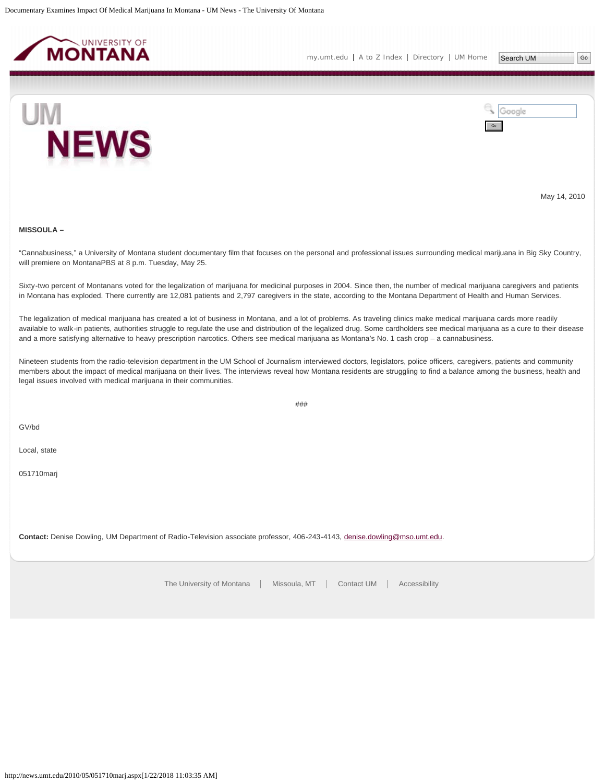<span id="page-16-0"></span>



May 14, 2010

### **MISSOULA –**

"Cannabusiness," a University of Montana student documentary film that focuses on the personal and professional issues surrounding medical marijuana in Big Sky Country, will premiere on MontanaPBS at 8 p.m. Tuesday, May 25.

Sixty-two percent of Montanans voted for the legalization of marijuana for medicinal purposes in 2004. Since then, the number of medical marijuana caregivers and patients in Montana has exploded. There currently are 12,081 patients and 2,797 caregivers in the state, according to the Montana Department of Health and Human Services.

The legalization of medical marijuana has created a lot of business in Montana, and a lot of problems. As traveling clinics make medical marijuana cards more readily available to walk-in patients, authorities struggle to regulate the use and distribution of the legalized drug. Some cardholders see medical marijuana as a cure to their disease and a more satisfying alternative to heavy prescription narcotics. Others see medical marijuana as Montana's No. 1 cash crop – a cannabusiness.

Nineteen students from the radio-television department in the UM School of Journalism interviewed doctors, legislators, police officers, caregivers, patients and community members about the impact of medical marijuana on their lives. The interviews reveal how Montana residents are struggling to find a balance among the business, health and legal issues involved with medical marijuana in their communities.

###

GV/bd

Local, state

051710marj

**Contact:** Denise Dowling, UM Department of Radio-Television associate professor, 406-243-4143, [denise.dowling@mso.umt.edu](mailto:denise.dowling@mso.umt.edu).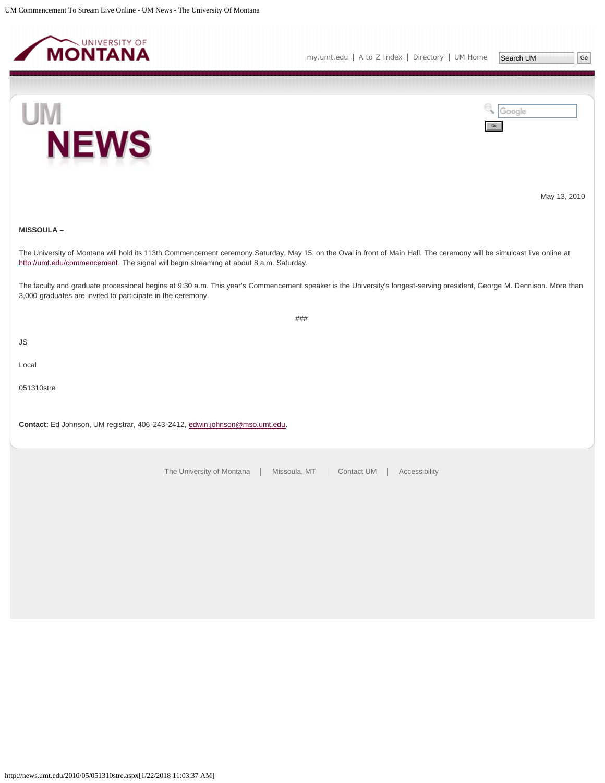<span id="page-17-0"></span>



Go

Google





May 13, 2010

### **MISSOULA –**

The University of Montana will hold its 113th Commencement ceremony Saturday, May 15, on the Oval in front of Main Hall. The ceremony will be simulcast live online at <http://umt.edu/commencement>. The signal will begin streaming at about 8 a.m. Saturday.

The faculty and graduate processional begins at 9:30 a.m. This year's Commencement speaker is the University's longest-serving president, George M. Dennison. More than 3,000 graduates are invited to participate in the ceremony.

###

JS

Local

051310stre

**Contact:** Ed Johnson, UM registrar, 406-243-2412, [edwin.johnson@mso.umt.edu](mailto:edwin.johnson@mso.umt.edu).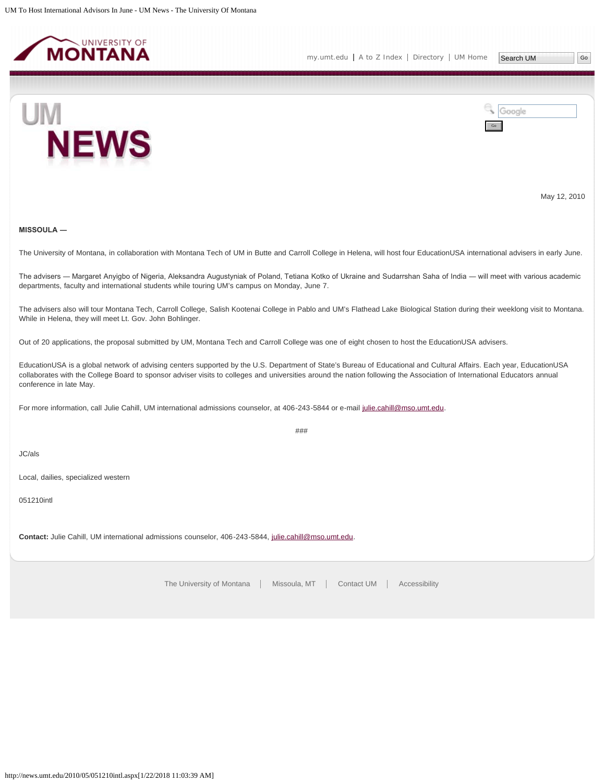<span id="page-18-0"></span>



May 12, 2010

### **MISSOULA ―**

The University of Montana, in collaboration with Montana Tech of UM in Butte and Carroll College in Helena, will host four EducationUSA international advisers in early June.

The advisers ― Margaret Anyigbo of Nigeria, Aleksandra Augustyniak of Poland, Tetiana Kotko of Ukraine and Sudarrshan Saha of India ― will meet with various academic departments, faculty and international students while touring UM's campus on Monday, June 7.

The advisers also will tour Montana Tech, Carroll College, Salish Kootenai College in Pablo and UM's Flathead Lake Biological Station during their weeklong visit to Montana. While in Helena, they will meet Lt. Gov. John Bohlinger.

Out of 20 applications, the proposal submitted by UM, Montana Tech and Carroll College was one of eight chosen to host the EducationUSA advisers.

EducationUSA is a global network of advising centers supported by the U.S. Department of State's Bureau of Educational and Cultural Affairs. Each year, EducationUSA collaborates with the College Board to sponsor adviser visits to colleges and universities around the nation following the Association of International Educators annual conference in late May.

For more information, call Julie Cahill, UM international admissions counselor, at 406-243-5844 or e-mail [julie.cahill@mso.umt.edu.](mailto:julie.cahill@mso.umt.edu)

###

JC/als

Local, dailies, specialized western

051210intl

**Contact:** Julie Cahill, UM international admissions counselor, 406-243-5844, [julie.cahill@mso.umt.edu.](mailto:julie.cahill@mso.umt.edu)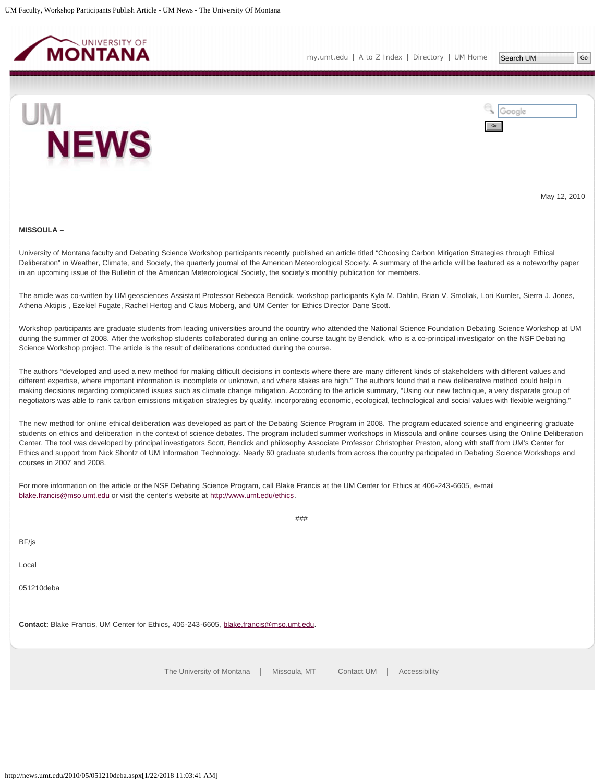<span id="page-19-0"></span>

Search UM





May 12, 2010

#### **MISSOULA –**

University of Montana faculty and Debating Science Workshop participants recently published an article titled "Choosing Carbon Mitigation Strategies through Ethical Deliberation" in Weather, Climate, and Society, the quarterly journal of the American Meteorological Society. A summary of the article will be featured as a noteworthy paper in an upcoming issue of the Bulletin of the American Meteorological Society, the society's monthly publication for members.

The article was co-written by UM geosciences Assistant Professor Rebecca Bendick, workshop participants Kyla M. Dahlin, Brian V. Smoliak, Lori Kumler, Sierra J. Jones, Athena Aktipis , Ezekiel Fugate, Rachel Hertog and Claus Moberg, and UM Center for Ethics Director Dane Scott.

Workshop participants are graduate students from leading universities around the country who attended the National Science Foundation Debating Science Workshop at UM during the summer of 2008. After the workshop students collaborated during an online course taught by Bendick, who is a co-principal investigator on the NSF Debating Science Workshop project. The article is the result of deliberations conducted during the course.

The authors "developed and used a new method for making difficult decisions in contexts where there are many different kinds of stakeholders with different values and different expertise, where important information is incomplete or unknown, and where stakes are high." The authors found that a new deliberative method could help in making decisions regarding complicated issues such as climate change mitigation. According to the article summary, "Using our new technique, a very disparate group of negotiators was able to rank carbon emissions mitigation strategies by quality, incorporating economic, ecological, technological and social values with flexible weighting."

The new method for online ethical deliberation was developed as part of the Debating Science Program in 2008. The program educated science and engineering graduate students on ethics and deliberation in the context of science debates. The program included summer workshops in Missoula and online courses using the Online Deliberation Center. The tool was developed by principal investigators Scott, Bendick and philosophy Associate Professor Christopher Preston, along with staff from UM's Center for Ethics and support from Nick Shontz of UM Information Technology. Nearly 60 graduate students from across the country participated in Debating Science Workshops and courses in 2007 and 2008.

. . . . . .

For more information on the article or the NSF Debating Science Program, call Blake Francis at the UM Center for Ethics at 406-243-6605, e-mail [blake.francis@mso.umt.edu](mailto:blake.francis@mso.umt.edu) or visit the center's website at [http://www.umt.edu/ethics.](http://www.umt.edu/ethics)

| ###                                                                                    |  |  |  |  |
|----------------------------------------------------------------------------------------|--|--|--|--|
| BF/js                                                                                  |  |  |  |  |
| Local                                                                                  |  |  |  |  |
| 051210deba                                                                             |  |  |  |  |
| Contact: Blake Francis, UM Center for Ethics, 406-243-6605, blake.francis@mso.umt.edu. |  |  |  |  |
| The University of Montana   Missoula, MT   Contact UM   Accessibility                  |  |  |  |  |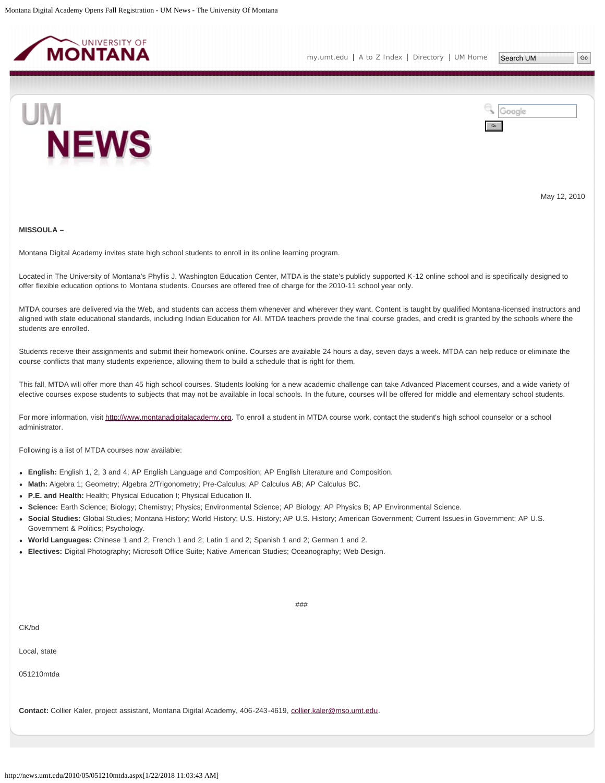<span id="page-20-0"></span>



May 12, 2010

#### **MISSOULA –**

Montana Digital Academy invites state high school students to enroll in its online learning program.

Located in The University of Montana's Phyllis J. Washington Education Center, MTDA is the state's publicly supported K-12 online school and is specifically designed to offer flexible education options to Montana students. Courses are offered free of charge for the 2010-11 school year only.

MTDA courses are delivered via the Web, and students can access them whenever and wherever they want. Content is taught by qualified Montana-licensed instructors and aligned with state educational standards, including Indian Education for All. MTDA teachers provide the final course grades, and credit is granted by the schools where the students are enrolled.

Students receive their assignments and submit their homework online. Courses are available 24 hours a day, seven days a week. MTDA can help reduce or eliminate the course conflicts that many students experience, allowing them to build a schedule that is right for them.

This fall, MTDA will offer more than 45 high school courses. Students looking for a new academic challenge can take Advanced Placement courses, and a wide variety of elective courses expose students to subjects that may not be available in local schools. In the future, courses will be offered for middle and elementary school students.

For more information, visit [http://www.montanadigitalacademy.org.](http://www.montanadigitalacademy.org/) To enroll a student in MTDA course work, contact the student's high school counselor or a school administrator.

Following is a list of MTDA courses now available:

- **English:** English 1, 2, 3 and 4; AP English Language and Composition; AP English Literature and Composition.
- **Math:** Algebra 1; Geometry; Algebra 2/Trigonometry; Pre-Calculus; AP Calculus AB; AP Calculus BC.
- **P.E. and Health:** Health; Physical Education I; Physical Education II.
- **Science:** Earth Science; Biology; Chemistry; Physics; Environmental Science; AP Biology; AP Physics B; AP Environmental Science.
- **Social Studies:** Global Studies; Montana History; World History; U.S. History; AP U.S. History; American Government; Current Issues in Government; AP U.S. Government & Politics; Psychology.

###

- **World Languages:** Chinese 1 and 2; French 1 and 2; Latin 1 and 2; Spanish 1 and 2; German 1 and 2.
- **Electives:** Digital Photography; Microsoft Office Suite; Native American Studies; Oceanography; Web Design.

Local, state

051210mtda

**Contact:** Collier Kaler, project assistant, Montana Digital Academy, 406-243-4619, [collier.kaler@mso.umt.edu.](mailto:collier.kaler@mso.umt.edu)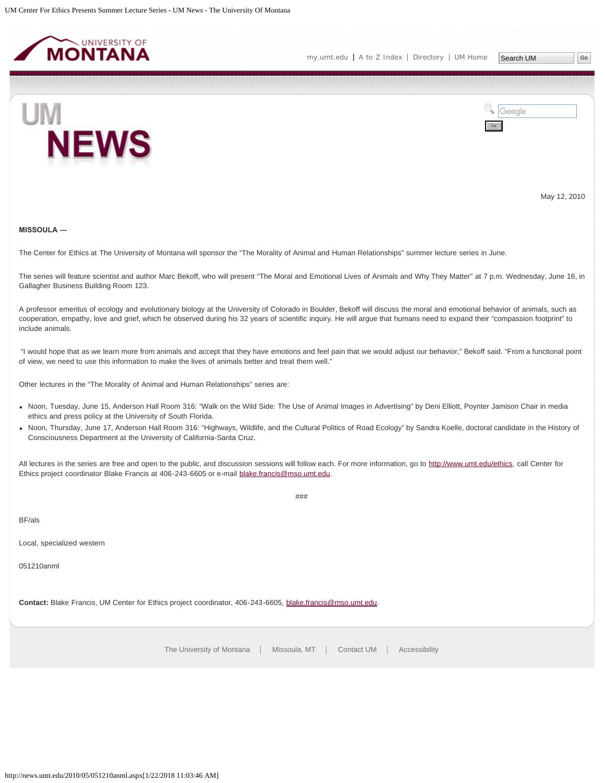<span id="page-22-0"></span>



May 12, 2010

### **MISSOULA ―**

The Center for Ethics at The University of Montana will sponsor the "The Morality of Animal and Human Relationships" summer lecture series in June.

The series will feature scientist and author Marc Bekoff, who will present "The Moral and Emotional Lives of Animals and Why They Matter" at 7 p.m. Wednesday, June 16, in Gallagher Business Building Room 123.

A professor emeritus of ecology and evolutionary biology at the University of Colorado in Boulder, Bekoff will discuss the moral and emotional behavior of animals, such as cooperation, empathy, love and grief, which he observed during his 32 years of scientific inquiry. He will argue that humans need to expand their "compassion footprint" to include animals.

"I would hope that as we learn more from animals and accept that they have emotions and feel pain that we would adjust our behavior," Bekoff said. "From a functional point of view, we need to use this information to make the lives of animals better and treat them well."

Other lectures in the "The Morality of Animal and Human Relationships" series are:

- Noon, Tuesday, June 15, Anderson Hall Room 316: "Walk on the Wild Side: The Use of Animal Images in Advertising" by Deni Elliott, Poynter Jamison Chair in media ethics and press policy at the University of South Florida.
- Noon, Thursday, June 17, Anderson Hall Room 316: "Highways, Wildlife, and the Cultural Politics of Road Ecology" by Sandra Koelle, doctoral candidate in the History of Consciousness Department at the University of California-Santa Cruz.

###

All lectures in the series are free and open to the public, and discussion sessions will follow each. For more information, go to<http://www.umt.edu/ethics>, call Center for Ethics project coordinator Blake Francis at 406-243-6605 or e-mail [blake.francis@mso.umt.edu](mailto:blake.francis@mso.umt.edu).

BF/als

Local, specialized western

051210anml

**Contact:** Blake Francis, UM Center for Ethics project coordinator, 406-243-6605, [blake.francis@mso.umt.edu.](mailto:blake.francis@mso.umt.edu)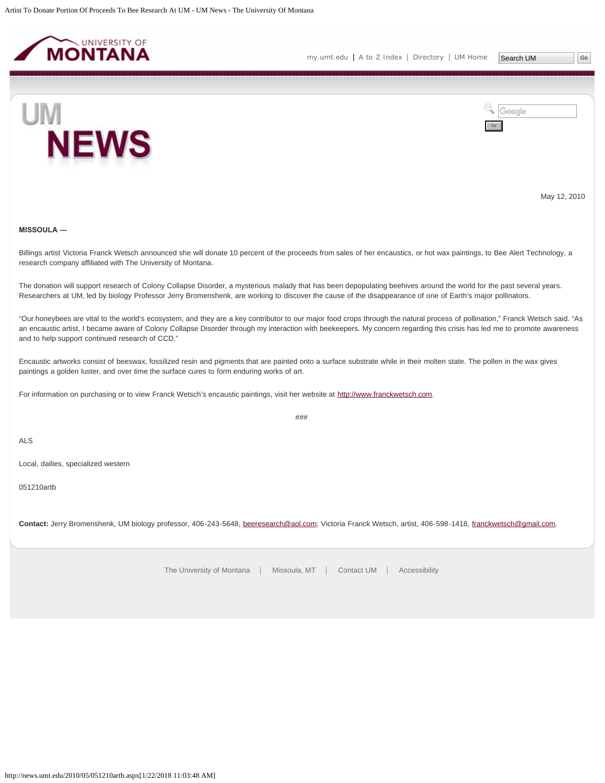<span id="page-23-0"></span>



May 12, 2010

### **MISSOULA ―**

Billings artist Victoria Franck Wetsch announced she will donate 10 percent of the proceeds from sales of her encaustics, or hot wax paintings, to Bee Alert Technology, a research company affiliated with The University of Montana.

The donation will support research of Colony Collapse Disorder, a mysterious malady that has been depopulating beehives around the world for the past several years. Researchers at UM, led by biology Professor Jerry Bromenshenk, are working to discover the cause of the disappearance of one of Earth's major pollinators.

"Our honeybees are vital to the world's ecosystem, and they are a key contributor to our major food crops through the natural process of pollination," Franck Wetsch said. "As an encaustic artist, I became aware of Colony Collapse Disorder through my interaction with beekeepers. My concern regarding this crisis has led me to promote awareness and to help support continued research of CCD."

Encaustic artworks consist of beeswax, fossilized resin and pigments that are painted onto a surface substrate while in their molten state. The pollen in the wax gives paintings a golden luster, and over time the surface cures to form enduring works of art.

For information on purchasing or to view Franck Wetsch's encaustic paintings, visit her website at [http://www.franckwetsch.com.](http://www.franckwetsch.com/)

###

ALS

Local, dailies, specialized western

051210artb

**Contact:** Jerry Bromenshenk, UM biology professor, 406-243-5648, [beeresearch@aol.com;](mailto:beeresearch@aol.com) Victoria Franck Wetsch, artist, 406-598-1418, [franckwetsch@gmail.com](mailto:franckwetsch@gmail.com).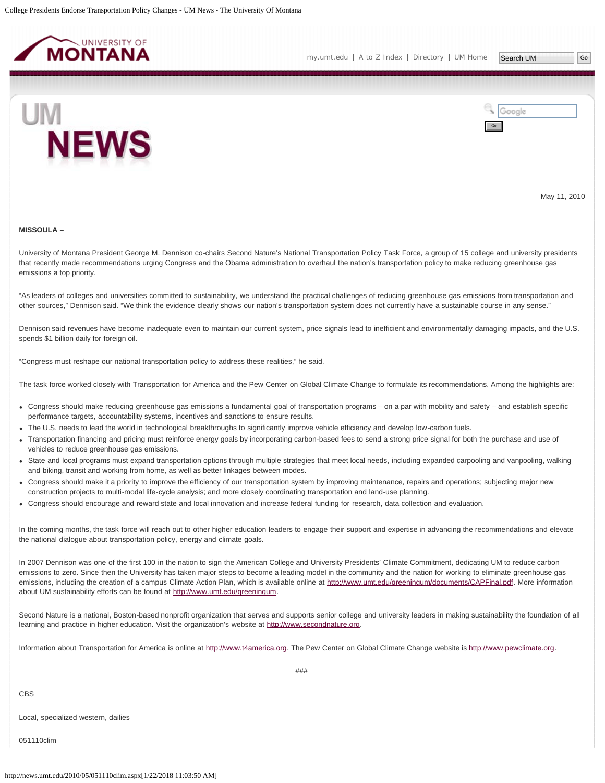<span id="page-24-0"></span>

Search UM



Google Go

May 11, 2010

#### **MISSOULA –**

University of Montana President George M. Dennison co-chairs Second Nature's National Transportation Policy Task Force, a group of 15 college and university presidents that recently made recommendations urging Congress and the Obama administration to overhaul the nation's transportation policy to make reducing greenhouse gas emissions a top priority.

"As leaders of colleges and universities committed to sustainability, we understand the practical challenges of reducing greenhouse gas emissions from transportation and other sources," Dennison said. "We think the evidence clearly shows our nation's transportation system does not currently have a sustainable course in any sense."

Dennison said revenues have become inadequate even to maintain our current system, price signals lead to inefficient and environmentally damaging impacts, and the U.S. spends \$1 billion daily for foreign oil.

"Congress must reshape our national transportation policy to address these realities," he said.

The task force worked closely with Transportation for America and the Pew Center on Global Climate Change to formulate its recommendations. Among the highlights are:

- Congress should make reducing greenhouse gas emissions a fundamental goal of transportation programs on a par with mobility and safety and establish specific performance targets, accountability systems, incentives and sanctions to ensure results.
- The U.S. needs to lead the world in technological breakthroughs to significantly improve vehicle efficiency and develop low-carbon fuels.
- Transportation financing and pricing must reinforce energy goals by incorporating carbon-based fees to send a strong price signal for both the purchase and use of vehicles to reduce greenhouse gas emissions.
- State and local programs must expand transportation options through multiple strategies that meet local needs, including expanded carpooling and vanpooling, walking and biking, transit and working from home, as well as better linkages between modes.
- Congress should make it a priority to improve the efficiency of our transportation system by improving maintenance, repairs and operations; subjecting major new construction projects to multi-modal life-cycle analysis; and more closely coordinating transportation and land-use planning.
- Congress should encourage and reward state and local innovation and increase federal funding for research, data collection and evaluation.

In the coming months, the task force will reach out to other higher education leaders to engage their support and expertise in advancing the recommendations and elevate the national dialogue about transportation policy, energy and climate goals.

In 2007 Dennison was one of the first 100 in the nation to sign the American College and University Presidents' Climate Commitment, dedicating UM to reduce carbon emissions to zero. Since then the University has taken major steps to become a leading model in the community and the nation for working to eliminate greenhouse gas emissions, including the creation of a campus Climate Action Plan, which is available online at [http://www.umt.edu/greeningum/documents/CAPFinal.pdf.](http://www.umt.edu/greeningum/documents/CAPFinal.pdf) More information about UM sustainability efforts can be found at [http://www.umt.edu/greeningum.](http://www.umt.edu/greeningum)

Second Nature is a national, Boston-based nonprofit organization that serves and supports senior college and university leaders in making sustainability the foundation of all learning and practice in higher education. Visit the organization's website at [http://www.secondnature.org](http://www.secondnature.org/).

Information about Transportation for America is online at [http://www.t4america.org](http://www.t4america.org/). The Pew Center on Global Climate Change website is [http://www.pewclimate.org.](http://www.pewclimate.org/)

CBS

Local, specialized western, dailies

051110clim

###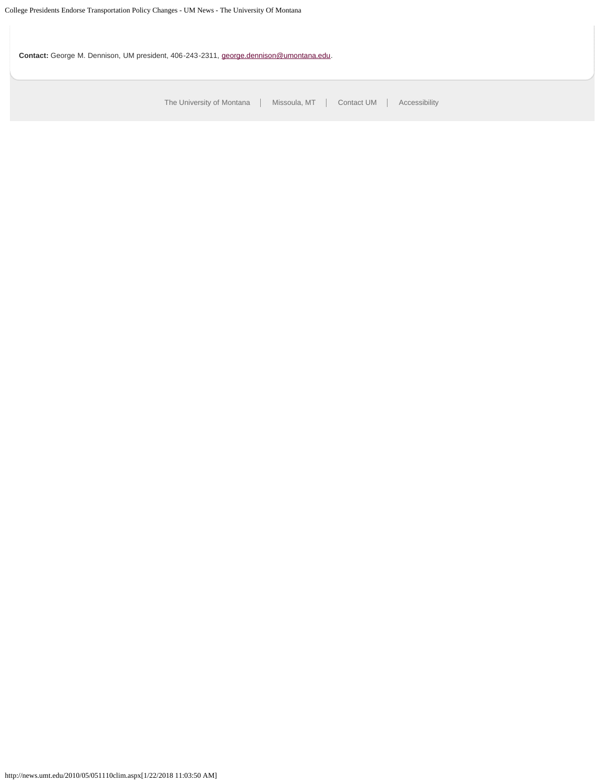**Contact:** George M. Dennison, UM president, 406-243-2311, [george.dennison@umontana.edu.](mailto:george.dennison@umontana.edu)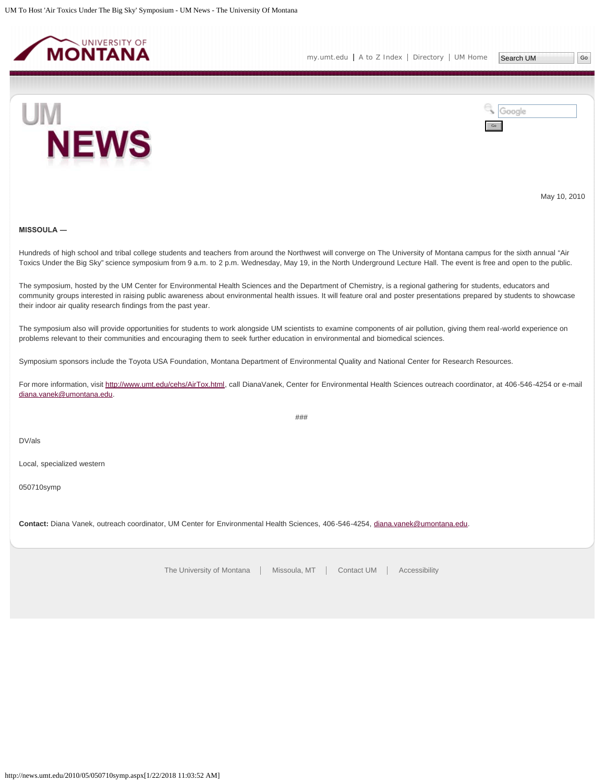<span id="page-26-0"></span>



May 10, 2010

# **MISSOULA ―**

Hundreds of high school and tribal college students and teachers from around the Northwest will converge on The University of Montana campus for the sixth annual "Air Toxics Under the Big Sky" science symposium from 9 a.m. to 2 p.m. Wednesday, May 19, in the North Underground Lecture Hall. The event is free and open to the public.

The symposium, hosted by the UM Center for Environmental Health Sciences and the Department of Chemistry, is a regional gathering for students, educators and community groups interested in raising public awareness about environmental health issues. It will feature oral and poster presentations prepared by students to showcase their indoor air quality research findings from the past year.

The symposium also will provide opportunities for students to work alongside UM scientists to examine components of air pollution, giving them real-world experience on problems relevant to their communities and encouraging them to seek further education in environmental and biomedical sciences.

Symposium sponsors include the Toyota USA Foundation, Montana Department of Environmental Quality and National Center for Research Resources.

For more information, visit [http://www.umt.edu/cehs/AirTox.html,](http://www.umt.edu/cehs/AirTox.html) call DianaVanek, Center for Environmental Health Sciences outreach coordinator, at 406-546-4254 or e-mail [diana.vanek@umontana.edu](mailto:diana.vanek@umontana.edu).

###

DV/als

Local, specialized western

050710symp

**Contact:** Diana Vanek, outreach coordinator, UM Center for Environmental Health Sciences, 406-546-4254, [diana.vanek@umontana.edu.](mailto:diana.vanek@umontana.edu)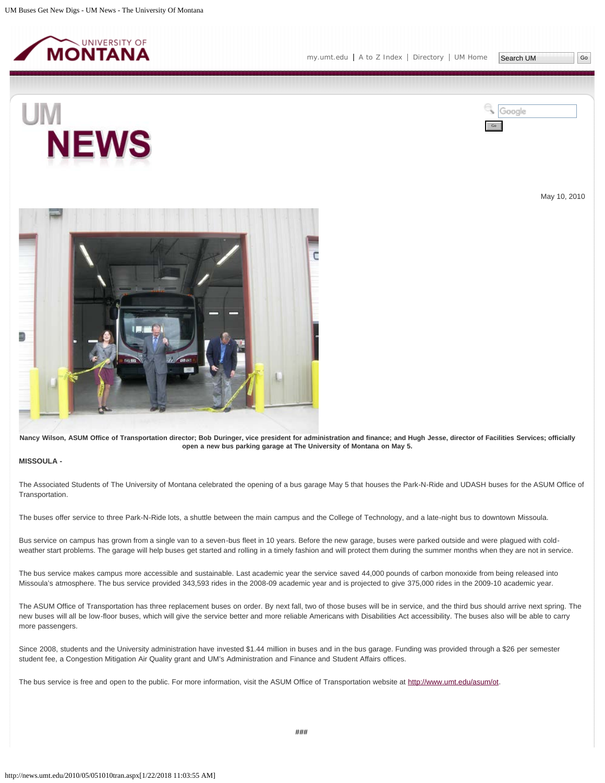<span id="page-27-0"></span>



May 10, 2010



**Nancy Wilson, ASUM Office of Transportation director; Bob Duringer, vice president for administration and finance; and Hugh Jesse, director of Facilities Services; officially open a new bus parking garage at The University of Montana on May 5.**

# **MISSOULA -**

The Associated Students of The University of Montana celebrated the opening of a bus garage May 5 that houses the Park-N-Ride and UDASH buses for the ASUM Office of Transportation.

The buses offer service to three Park-N-Ride lots, a shuttle between the main campus and the College of Technology, and a late-night bus to downtown Missoula.

Bus service on campus has grown from a single van to a seven-bus fleet in 10 years. Before the new garage, buses were parked outside and were plagued with coldweather start problems. The garage will help buses get started and rolling in a timely fashion and will protect them during the summer months when they are not in service.

The bus service makes campus more accessible and sustainable. Last academic year the service saved 44,000 pounds of carbon monoxide from being released into Missoula's atmosphere. The bus service provided 343,593 rides in the 2008-09 academic year and is projected to give 375,000 rides in the 2009-10 academic year.

The ASUM Office of Transportation has three replacement buses on order. By next fall, two of those buses will be in service, and the third bus should arrive next spring. The new buses will all be low-floor buses, which will give the service better and more reliable Americans with Disabilities Act accessibility. The buses also will be able to carry more passengers.

Since 2008, students and the University administration have invested \$1.44 million in buses and in the bus garage. Funding was provided through a \$26 per semester student fee, a Congestion Mitigation Air Quality grant and UM's Administration and Finance and Student Affairs offices.

The bus service is free and open to the public. For more information, visit the ASUM Office of Transportation website at [http://www.umt.edu/asum/ot.](http://www.umt.edu/asum/ot)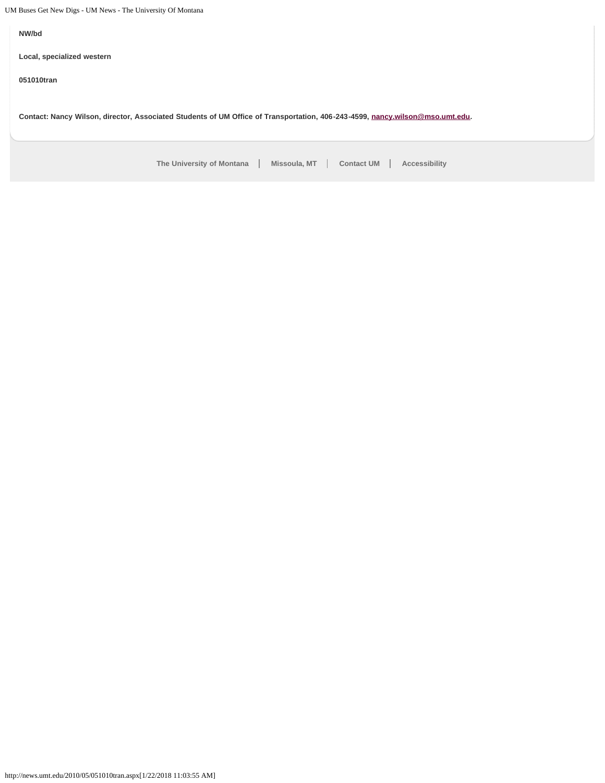UM Buses Get New Digs - UM News - The University Of Montana

**NW/bd**

**Local, specialized western**

**051010tran**

**Contact: Nancy Wilson, director, Associated Students of UM Office of Transportation, 406-243-4599, [nancy.wilson@mso.umt.edu](mailto:nancy.wilson@mso.umt.edu).**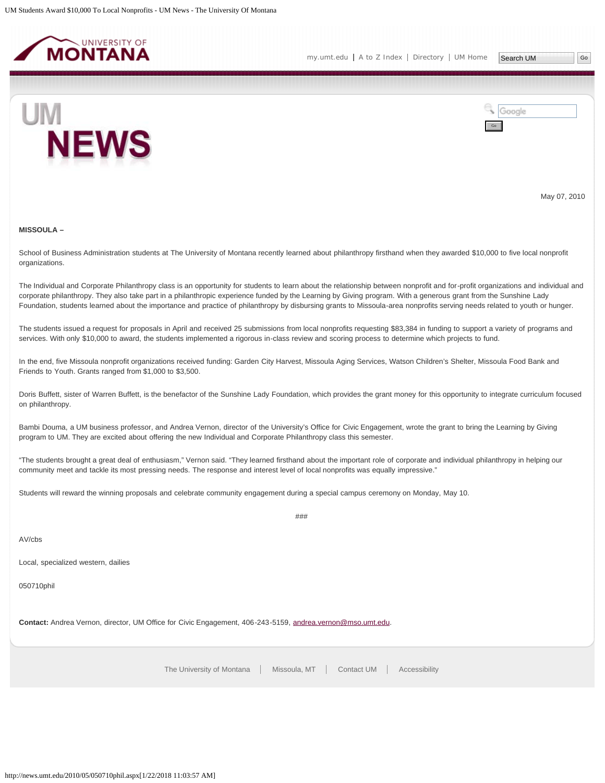<span id="page-29-0"></span>



May 07, 2010

#### **MISSOULA –**

School of Business Administration students at The University of Montana recently learned about philanthropy firsthand when they awarded \$10,000 to five local nonprofit organizations.

The Individual and Corporate Philanthropy class is an opportunity for students to learn about the relationship between nonprofit and for-profit organizations and individual and corporate philanthropy. They also take part in a philanthropic experience funded by the Learning by Giving program. With a generous grant from the Sunshine Lady Foundation, students learned about the importance and practice of philanthropy by disbursing grants to Missoula-area nonprofits serving needs related to youth or hunger.

The students issued a request for proposals in April and received 25 submissions from local nonprofits requesting \$83,384 in funding to support a variety of programs and services. With only \$10,000 to award, the students implemented a rigorous in-class review and scoring process to determine which projects to fund.

In the end, five Missoula nonprofit organizations received funding: Garden City Harvest, Missoula Aging Services, Watson Children's Shelter, Missoula Food Bank and Friends to Youth. Grants ranged from \$1,000 to \$3,500.

Doris Buffett, sister of Warren Buffett, is the benefactor of the Sunshine Lady Foundation, which provides the grant money for this opportunity to integrate curriculum focused on philanthropy.

Bambi Douma, a UM business professor, and Andrea Vernon, director of the University's Office for Civic Engagement, wrote the grant to bring the Learning by Giving program to UM. They are excited about offering the new Individual and Corporate Philanthropy class this semester.

"The students brought a great deal of enthusiasm," Vernon said. "They learned firsthand about the important role of corporate and individual philanthropy in helping our community meet and tackle its most pressing needs. The response and interest level of local nonprofits was equally impressive."

###

Students will reward the winning proposals and celebrate community engagement during a special campus ceremony on Monday, May 10.

AV/cbs

Local, specialized western, dailies

050710phil

**Contact:** Andrea Vernon, director, UM Office for Civic Engagement, 406-243-5159, [andrea.vernon@mso.umt.edu.](mailto:andrea.vernon@mso.umt.edu)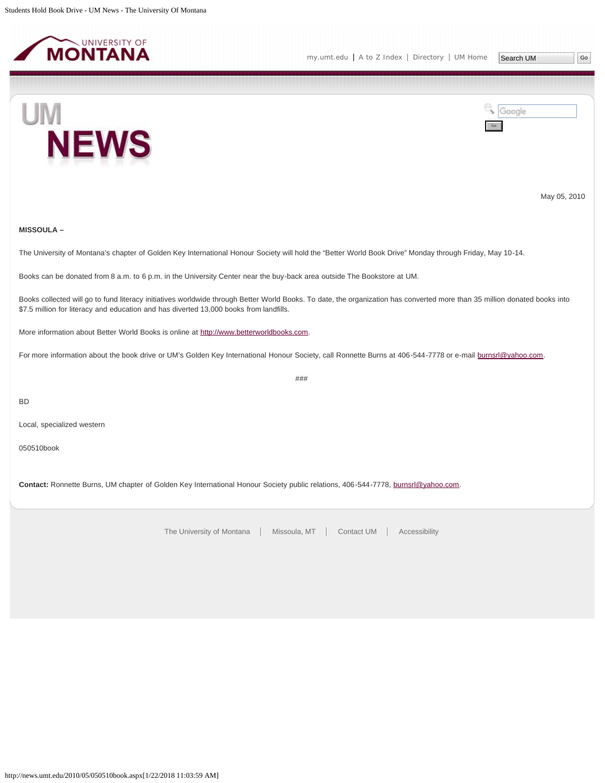<span id="page-30-0"></span>





May 05, 2010

# **MISSOULA –**

The University of Montana's chapter of Golden Key International Honour Society will hold the "Better World Book Drive" Monday through Friday, May 10-14.

Books can be donated from 8 a.m. to 6 p.m. in the University Center near the buy-back area outside The Bookstore at UM.

Books collected will go to fund literacy initiatives worldwide through Better World Books. To date, the organization has converted more than 35 million donated books into \$7.5 million for literacy and education and has diverted 13,000 books from landfills.

###

More information about Better World Books is online at [http://www.betterworldbooks.com](http://www.betterworldbooks.com/).

For more information about the book drive or UM's Golden Key International Honour Society, call Ronnette Burns at 406-544-7778 or e-mail [burnsrl@yahoo.com.](mailto:burnsrl@yahoo.com)

BD

Local, specialized western

050510book

**Contact:** Ronnette Burns, UM chapter of Golden Key International Honour Society public relations, 406-544-7778, [burnsrl@yahoo.com.](mailto:burnsrl@yahoo.com)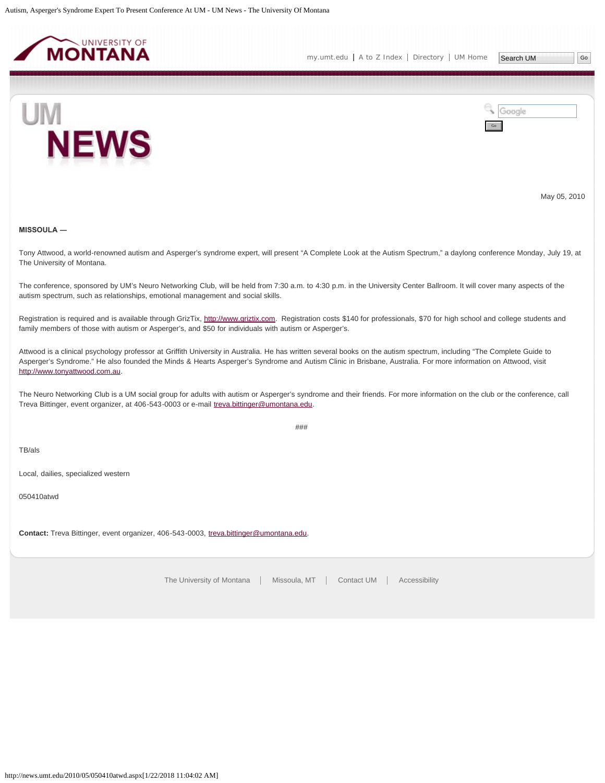<span id="page-31-0"></span>



May 05, 2010

#### **MISSOULA ―**

Tony Attwood, a world-renowned autism and Asperger's syndrome expert, will present "A Complete Look at the Autism Spectrum," a daylong conference Monday, July 19, at The University of Montana.

The conference, sponsored by UM's Neuro Networking Club, will be held from 7:30 a.m. to 4:30 p.m. in the University Center Ballroom. It will cover many aspects of the autism spectrum, such as relationships, emotional management and social skills.

Registration is required and is available through GrizTix, [http://www.griztix.com.](http://www.griztix.com/) Registration costs \$140 for professionals, \$70 for high school and college students and family members of those with autism or Asperger's, and \$50 for individuals with autism or Asperger's.

Attwood is a clinical psychology professor at Griffith University in Australia. He has written several books on the autism spectrum, including "The Complete Guide to Asperger's Syndrome." He also founded the Minds & Hearts Asperger's Syndrome and Autism Clinic in Brisbane, Australia. For more information on Attwood, visit [http://www.tonyattwood.com.au](http://www.tonyattwood.com.au/).

The Neuro Networking Club is a UM social group for adults with autism or Asperger's syndrome and their friends. For more information on the club or the conference, call Treva Bittinger, event organizer, at 406-543-0003 or e-mail [treva.bittinger@umontana.edu](mailto:treva.bittinger@umontana.edu).

###

TB/als

Local, dailies, specialized western

050410atwd

**Contact:** Treva Bittinger, event organizer, 406-543-0003, [treva.bittinger@umontana.edu.](mailto:treva.bittinger@umontana.edu)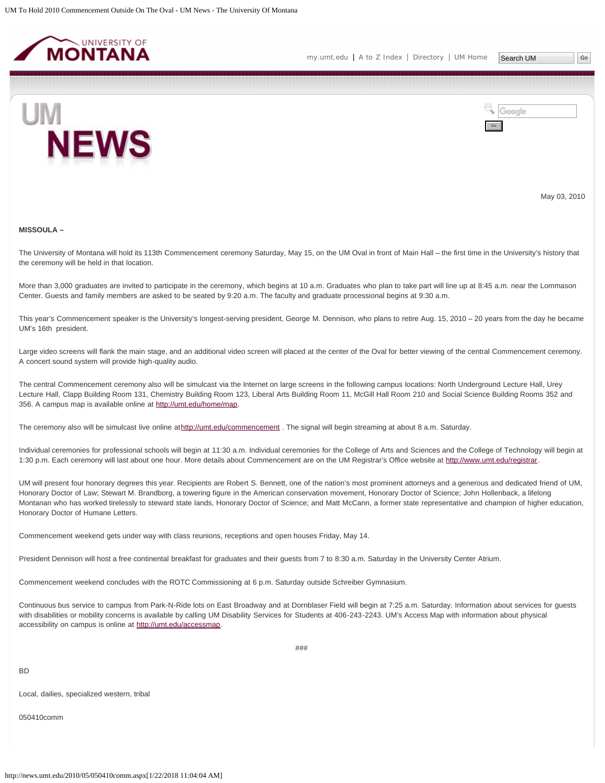<span id="page-32-0"></span>



May 03, 2010

#### **MISSOULA –**

The University of Montana will hold its 113th Commencement ceremony Saturday, May 15, on the UM Oval in front of Main Hall – the first time in the University's history that the ceremony will be held in that location.

More than 3,000 graduates are invited to participate in the ceremony, which begins at 10 a.m. Graduates who plan to take part will line up at 8:45 a.m. near the Lommason Center. Guests and family members are asked to be seated by 9:20 a.m. The faculty and graduate processional begins at 9:30 a.m.

This year's Commencement speaker is the University's longest-serving president, George M. Dennison, who plans to retire Aug. 15, 2010 – 20 years from the day he became UM's 16th president.

Large video screens will flank the main stage, and an additional video screen will placed at the center of the Oval for better viewing of the central Commencement ceremony. A concert sound system will provide high-quality audio.

The central Commencement ceremony also will be simulcast via the Internet on large screens in the following campus locations: North Underground Lecture Hall, Urey Lecture Hall, Clapp Building Room 131, Chemistry Building Room 123, Liberal Arts Building Room 11, McGill Hall Room 210 and Social Science Building Rooms 352 and 356. A campus map is available online at [http://umt.edu/home/map.](http://umt.edu/home/map)

The ceremony also will be simulcast live online at<http://umt.edu/commencement> . The signal will begin streaming at about 8 a.m. Saturday.

Individual ceremonies for professional schools will begin at 11:30 a.m. Individual ceremonies for the College of Arts and Sciences and the College of Technology will begin at 1:30 p.m. Each ceremony will last about one hour. More details about Commencement are on the UM Registrar's Office website at<http://www.umt.edu/registrar>.

UM will present four honorary degrees this year. Recipients are Robert S. Bennett, one of the nation's most prominent attorneys and a generous and dedicated friend of UM, Honorary Doctor of Law; Stewart M. Brandborg, a towering figure in the American conservation movement, Honorary Doctor of Science; John Hollenback, a lifelong Montanan who has worked tirelessly to steward state lands, Honorary Doctor of Science; and Matt McCann, a former state representative and champion of higher education, Honorary Doctor of Humane Letters.

Commencement weekend gets under way with class reunions, receptions and open houses Friday, May 14.

President Dennison will host a free continental breakfast for graduates and their guests from 7 to 8:30 a.m. Saturday in the University Center Atrium.

Commencement weekend concludes with the ROTC Commissioning at 6 p.m. Saturday outside Schreiber Gymnasium.

Continuous bus service to campus from Park-N-Ride lots on East Broadway and at Dornblaser Field will begin at 7:25 a.m. Saturday. Information about services for guests with disabilities or mobility concerns is available by calling UM Disability Services for Students at 406-243-2243. UM's Access Map with information about physical accessibility on campus is online at<http://umt.edu/accessmap>.

BD

Local, dailies, specialized western, tribal

050410comm

###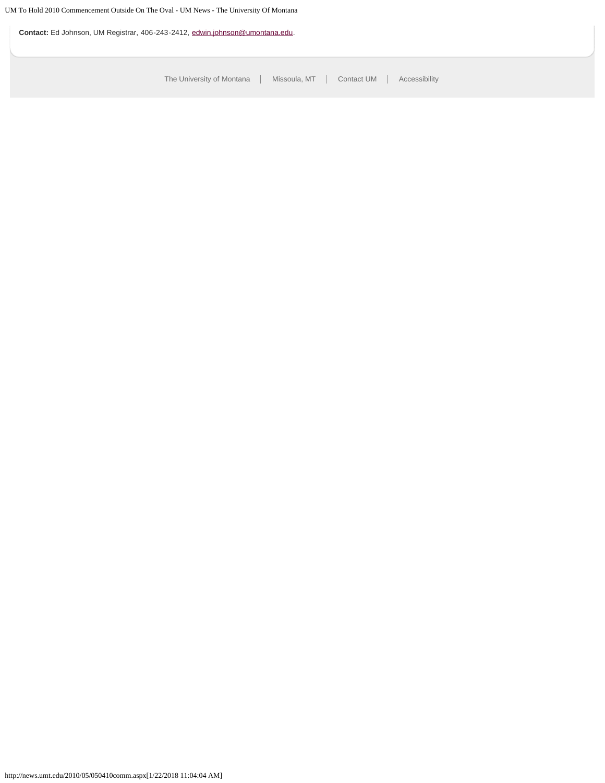**Contact:** Ed Johnson, UM Registrar, 406-243-2412, [edwin.johnson@umontana.edu](mailto:edwin.johnson@umontana.edu).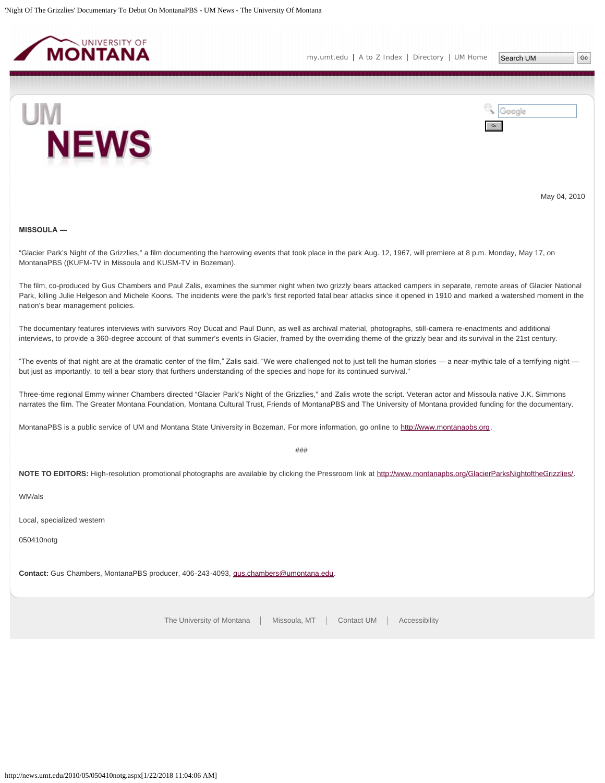<span id="page-34-0"></span>



May 04, 2010

# **MISSOULA ―**

"Glacier Park's Night of the Grizzlies," a film documenting the harrowing events that took place in the park Aug. 12, 1967, will premiere at 8 p.m. Monday, May 17, on MontanaPBS ((KUFM-TV in Missoula and KUSM-TV in Bozeman).

The film, co-produced by Gus Chambers and Paul Zalis, examines the summer night when two grizzly bears attacked campers in separate, remote areas of Glacier National Park, killing Julie Helgeson and Michele Koons. The incidents were the park's first reported fatal bear attacks since it opened in 1910 and marked a watershed moment in the nation's bear management policies.

The documentary features interviews with survivors Roy Ducat and Paul Dunn, as well as archival material, photographs, still-camera re-enactments and additional interviews, to provide a 360-degree account of that summer's events in Glacier, framed by the overriding theme of the grizzly bear and its survival in the 21st century.

"The events of that night are at the dramatic center of the film," Zalis said. "We were challenged not to just tell the human stories ― a near-mythic tale of a terrifying night ― but just as importantly, to tell a bear story that furthers understanding of the species and hope for its continued survival."

Three-time regional Emmy winner Chambers directed "Glacier Park's Night of the Grizzlies," and Zalis wrote the script. Veteran actor and Missoula native J.K. Simmons narrates the film. The Greater Montana Foundation, Montana Cultural Trust, Friends of MontanaPBS and The University of Montana provided funding for the documentary.

MontanaPBS is a public service of UM and Montana State University in Bozeman. For more information, go online to [http://www.montanapbs.org.](http://www.montanapbs.org/)

 $#HH$ 

**NOTE TO EDITORS:** High-resolution promotional photographs are available by clicking the Pressroom link at [http://www.montanapbs.org/GlacierParksNightoftheGrizzlies/.](http://www.montanapbs.org/GlacierParksNightoftheGrizzlies/)

WM/als

Local, specialized western

050410notg

**Contact:** Gus Chambers, MontanaPBS producer, 406-243-4093, [gus.chambers@umontana.edu.](mailto:gus.chambers@umontana.edu)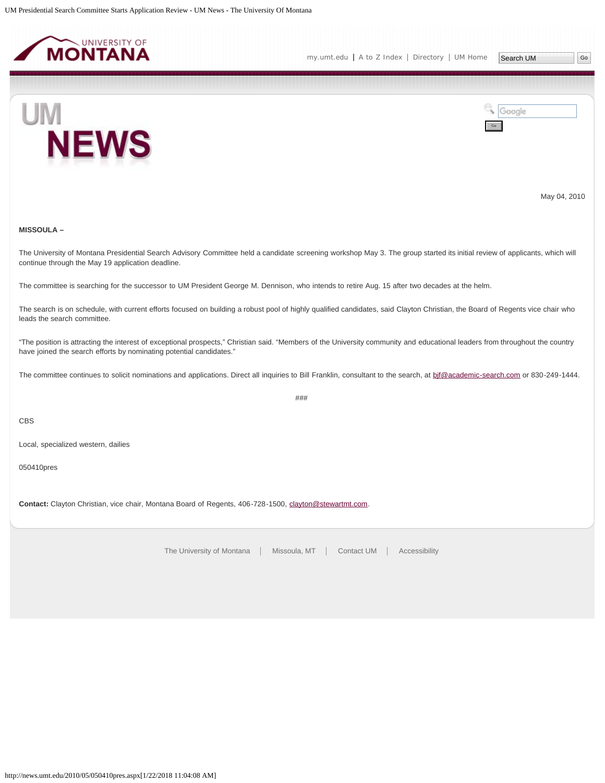<span id="page-35-0"></span>



May 04, 2010

# **MISSOULA –**

The University of Montana Presidential Search Advisory Committee held a candidate screening workshop May 3. The group started its initial review of applicants, which will continue through the May 19 application deadline.

The committee is searching for the successor to UM President George M. Dennison, who intends to retire Aug. 15 after two decades at the helm.

The search is on schedule, with current efforts focused on building a robust pool of highly qualified candidates, said Clayton Christian, the Board of Regents vice chair who leads the search committee.

"The position is attracting the interest of exceptional prospects," Christian said. "Members of the University community and educational leaders from throughout the country have joined the search efforts by nominating potential candidates."

The committee continues to solicit nominations and applications. Direct all inquiries to Bill Franklin, consultant to the search, at bif@academic-search.com or 830-249-1444.

###

CBS

Local, specialized western, dailies

050410pres

**Contact:** Clayton Christian, vice chair, Montana Board of Regents, 406-728-1500, [clayton@stewartmt.com.](mailto:clayton@stewartmt.com)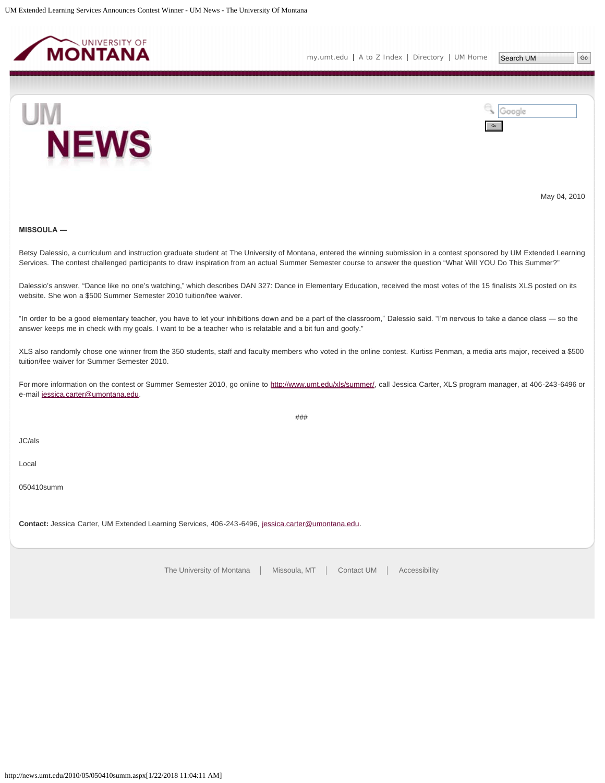<span id="page-36-0"></span>



May 04, 2010

#### **MISSOULA ―**

Betsy Dalessio, a curriculum and instruction graduate student at The University of Montana, entered the winning submission in a contest sponsored by UM Extended Learning Services. The contest challenged participants to draw inspiration from an actual Summer Semester course to answer the question "What Will YOU Do This Summer?"

Dalessio's answer, "Dance like no one's watching," which describes DAN 327: Dance in Elementary Education, received the most votes of the 15 finalists XLS posted on its website. She won a \$500 Summer Semester 2010 tuition/fee waiver.

"In order to be a good elementary teacher, you have to let your inhibitions down and be a part of the classroom," Dalessio said. "I'm nervous to take a dance class ― so the answer keeps me in check with my goals. I want to be a teacher who is relatable and a bit fun and goofy."

XLS also randomly chose one winner from the 350 students, staff and faculty members who voted in the online contest. Kurtiss Penman, a media arts major, received a \$500 tuition/fee waiver for Summer Semester 2010.

For more information on the contest or Summer Semester 2010, go online to<http://www.umt.edu/xls/summer/>, call Jessica Carter, XLS program manager, at 406-243-6496 or e-mail [jessica.carter@umontana.edu.](mailto:jessica.carter@umontana.edu)

###

JC/als

Local

050410summ

**Contact:** Jessica Carter, UM Extended Learning Services, 406-243-6496, [jessica.carter@umontana.edu.](mailto:jessica.carter@umontana.edu)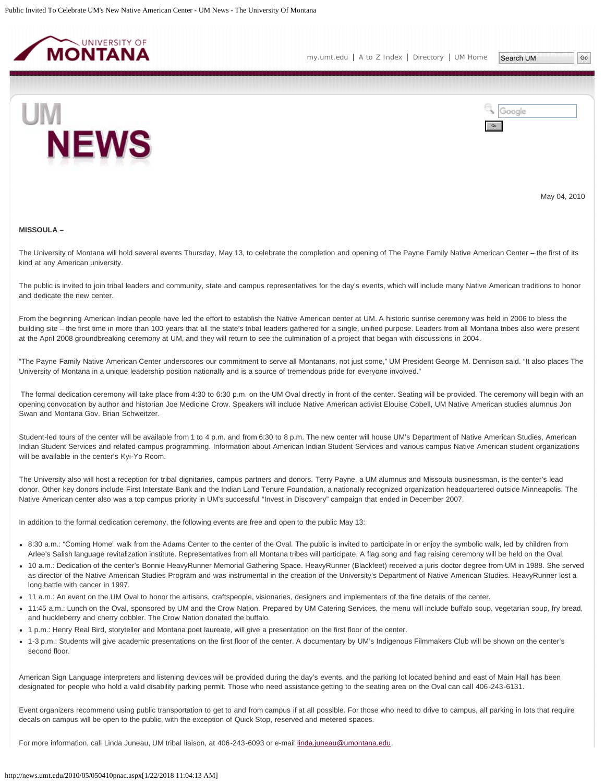<span id="page-37-0"></span>



May 04, 2010

#### **MISSOULA –**

The University of Montana will hold several events Thursday, May 13, to celebrate the completion and opening of The Payne Family Native American Center – the first of its kind at any American university.

The public is invited to join tribal leaders and community, state and campus representatives for the day's events, which will include many Native American traditions to honor and dedicate the new center.

From the beginning American Indian people have led the effort to establish the Native American center at UM. A historic sunrise ceremony was held in 2006 to bless the building site – the first time in more than 100 years that all the state's tribal leaders gathered for a single, unified purpose. Leaders from all Montana tribes also were present at the April 2008 groundbreaking ceremony at UM, and they will return to see the culmination of a project that began with discussions in 2004.

"The Payne Family Native American Center underscores our commitment to serve all Montanans, not just some," UM President George M. Dennison said. "It also places The University of Montana in a unique leadership position nationally and is a source of tremendous pride for everyone involved."

The formal dedication ceremony will take place from 4:30 to 6:30 p.m. on the UM Oval directly in front of the center. Seating will be provided. The ceremony will begin with an opening convocation by author and historian Joe Medicine Crow. Speakers will include Native American activist Elouise Cobell, UM Native American studies alumnus Jon Swan and Montana Gov. Brian Schweitzer.

Student-led tours of the center will be available from 1 to 4 p.m. and from 6:30 to 8 p.m. The new center will house UM's Department of Native American Studies, American Indian Student Services and related campus programming. Information about American Indian Student Services and various campus Native American student organizations will be available in the center's Kyi-Yo Room.

The University also will host a reception for tribal dignitaries, campus partners and donors. Terry Payne, a UM alumnus and Missoula businessman, is the center's lead donor. Other key donors include First Interstate Bank and the Indian Land Tenure Foundation, a nationally recognized organization headquartered outside Minneapolis. The Native American center also was a top campus priority in UM's successful "Invest in Discovery" campaign that ended in December 2007.

In addition to the formal dedication ceremony, the following events are free and open to the public May 13:

- 8:30 a.m.: "Coming Home" walk from the Adams Center to the center of the Oval. The public is invited to participate in or enjoy the symbolic walk, led by children from Arlee's Salish language revitalization institute. Representatives from all Montana tribes will participate. A flag song and flag raising ceremony will be held on the Oval.
- 10 a.m.: Dedication of the center's Bonnie HeavyRunner Memorial Gathering Space. HeavyRunner (Blackfeet) received a juris doctor degree from UM in 1988. She served as director of the Native American Studies Program and was instrumental in the creation of the University's Department of Native American Studies. HeavyRunner lost a long battle with cancer in 1997.
- 11 a.m.: An event on the UM Oval to honor the artisans, craftspeople, visionaries, designers and implementers of the fine details of the center.
- 11:45 a.m.: Lunch on the Oval, sponsored by UM and the Crow Nation. Prepared by UM Catering Services, the menu will include buffalo soup, vegetarian soup, fry bread, and huckleberry and cherry cobbler. The Crow Nation donated the buffalo.
- 1 p.m.: Henry Real Bird, storyteller and Montana poet laureate, will give a presentation on the first floor of the center.
- 1-3 p.m.: Students will give academic presentations on the first floor of the center. A documentary by UM's Indigenous Filmmakers Club will be shown on the center's second floor.

American Sign Language interpreters and listening devices will be provided during the day's events, and the parking lot located behind and east of Main Hall has been designated for people who hold a valid disability parking permit. Those who need assistance getting to the seating area on the Oval can call 406-243-6131.

Event organizers recommend using public transportation to get to and from campus if at all possible. For those who need to drive to campus, all parking in lots that require decals on campus will be open to the public, with the exception of Quick Stop, reserved and metered spaces.

For more information, call Linda Juneau, UM tribal liaison, at 406-243-6093 or e-mail [linda.juneau@umontana.edu.](mailto:linda.juneau@umontana.edu)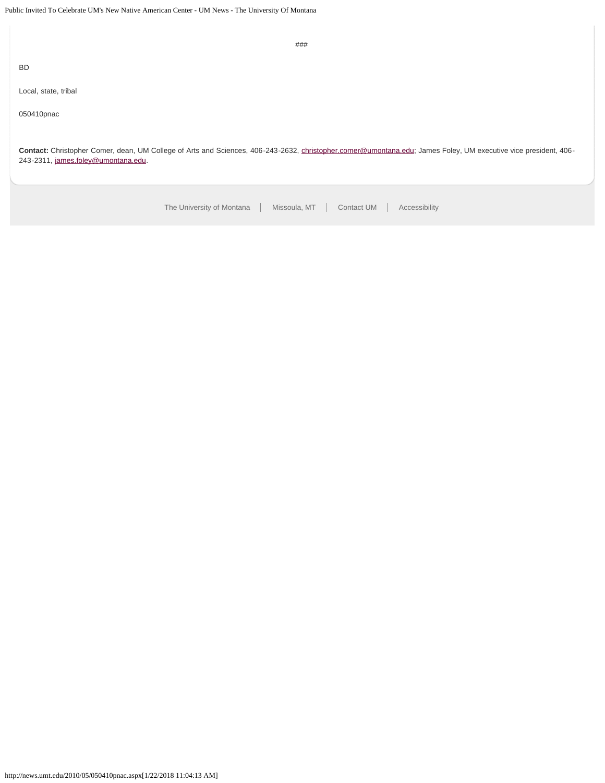[The University of Montana](http://www.umt.edu/) | Missoula, MT | [Contact UM](http://www.umt.edu/comments) | [Accessibility](http://www.umt.edu/home/accessibility) ### BD Local, state, tribal 050410pnac **Contact:** Christopher Comer, dean, UM College of Arts and Sciences, 406-243-2632, [christopher.comer@umontana.edu](mailto:christopher.comer@umontana.edu); James Foley, UM executive vice president, 406- 243-2311, [james.foley@umontana.edu](mailto:james.foley@umontana.edu).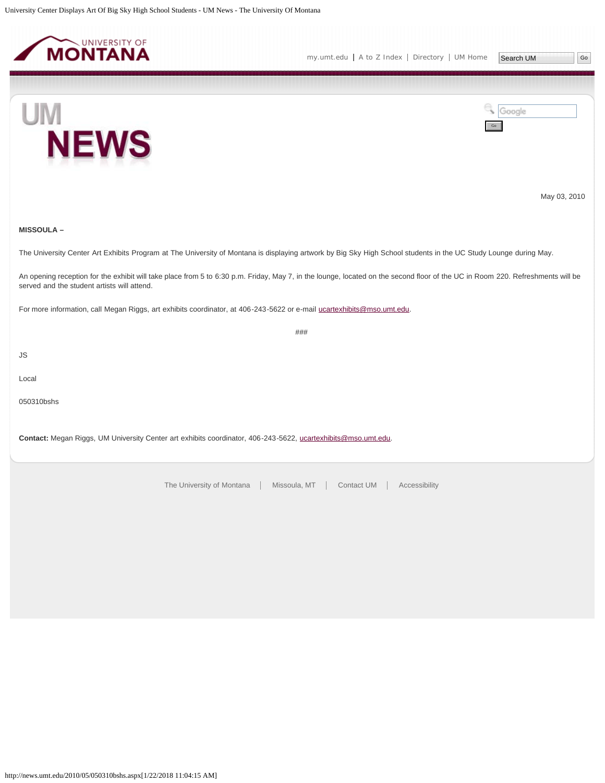<span id="page-39-0"></span>





May 03, 2010

### **MISSOULA –**

The University Center Art Exhibits Program at The University of Montana is displaying artwork by Big Sky High School students in the UC Study Lounge during May.

An opening reception for the exhibit will take place from 5 to 6:30 p.m. Friday, May 7, in the lounge, located on the second floor of the UC in Room 220. Refreshments will be served and the student artists will attend.

###

For more information, call Megan Riggs, art exhibits coordinator, at 406-243-5622 or e-mail [ucartexhibits@mso.umt.edu.](mailto:ucartexhibits@mso.umt.edu)

JS

Local

050310bshs

**Contact:** Megan Riggs, UM University Center art exhibits coordinator, 406-243-5622, [ucartexhibits@mso.umt.edu](mailto:ucartexhibits@mso.umt.edu).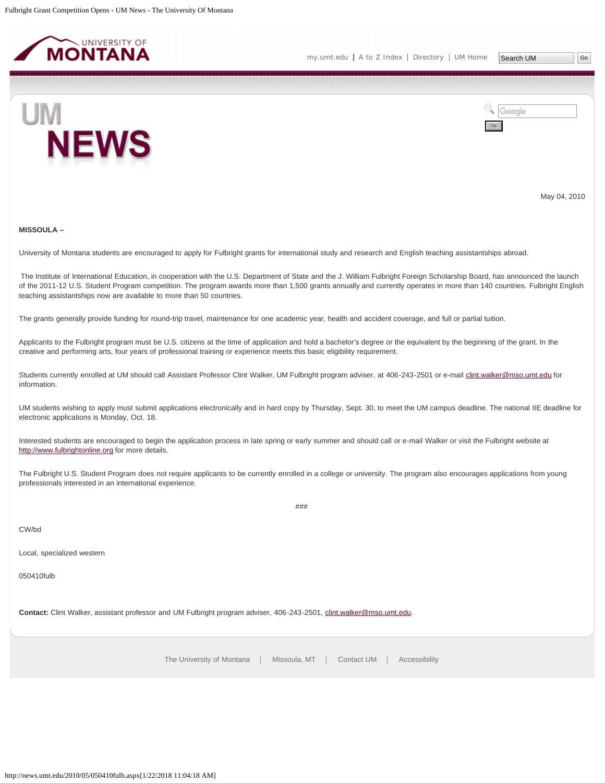<span id="page-40-0"></span>



May 04, 2010

#### **MISSOULA –**

University of Montana students are encouraged to apply for Fulbright grants for international study and research and English teaching assistantships abroad.

The Institute of International Education, in cooperation with the U.S. Department of State and the J. William Fulbright Foreign Scholarship Board, has announced the launch of the 2011-12 U.S. Student Program competition. The program awards more than 1,500 grants annually and currently operates in more than 140 countries. Fulbright English teaching assistantships now are available to more than 50 countries.

The grants generally provide funding for round-trip travel, maintenance for one academic year, health and accident coverage, and full or partial tuition.

Applicants to the Fulbright program must be U.S. citizens at the time of application and hold a bachelor's degree or the equivalent by the beginning of the grant. In the creative and performing arts, four years of professional training or experience meets this basic eligibility requirement.

Students currently enrolled at UM should call Assistant Professor Clint Walker, UM Fulbright program adviser, at 406-243-2501 or e-mail [clint.walker@mso.umt.edu](mailto:clint.walker@mso.umt.edu) for information.

UM students wishing to apply must submit applications electronically and in hard copy by Thursday, Sept. 30, to meet the UM campus deadline. The national IIE deadline for electronic applications is Monday, Oct. 18.

Interested students are encouraged to begin the application process in late spring or early summer and should call or e-mail Walker or visit the Fulbright website at [http://www.fulbrightonline.org](http://www.fulbrightonline.org/) for more details.

The Fulbright U.S. Student Program does not require applicants to be currently enrolled in a college or university. The program also encourages applications from young professionals interested in an international experience.

###

CW/bd

Local, specialized western

050410fulb

**Contact:** Clint Walker, assistant professor and UM Fulbright program adviser, 406-243-2501, [clint.walker@mso.umt.edu](mailto:clint.walker@mso.umt.edu).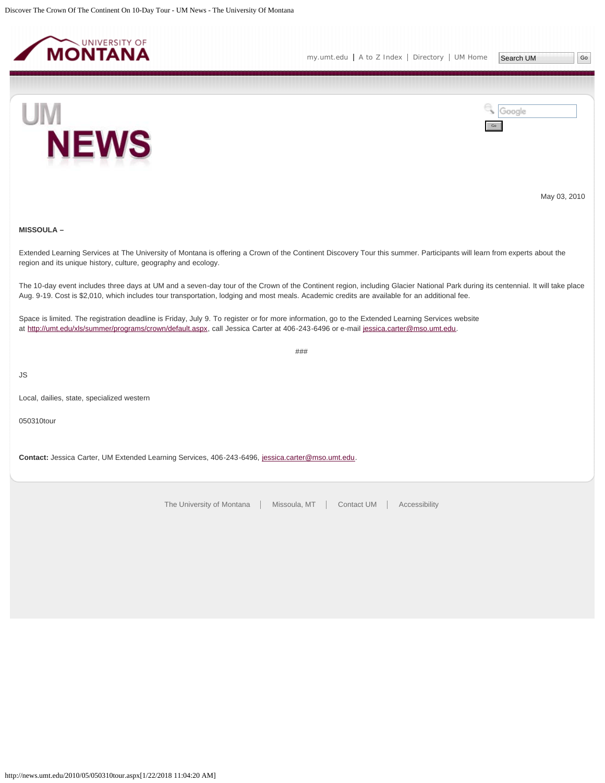<span id="page-41-0"></span>



May 03, 2010

### **MISSOULA –**

Extended Learning Services at The University of Montana is offering a Crown of the Continent Discovery Tour this summer. Participants will learn from experts about the region and its unique history, culture, geography and ecology.

The 10-day event includes three days at UM and a seven-day tour of the Crown of the Continent region, including Glacier National Park during its centennial. It will take place Aug. 9-19. Cost is \$2,010, which includes tour transportation, lodging and most meals. Academic credits are available for an additional fee.

###

Space is limited. The registration deadline is Friday, July 9. To register or for more information, go to the Extended Learning Services website at <http://umt.edu/xls/summer/programs/crown/default.aspx>, call Jessica Carter at 406-243-6496 or e-mail [jessica.carter@mso.umt.edu.](mailto:jessica.carter@mso.umt.edu)

JS

Local, dailies, state, specialized western

050310tour

**Contact:** Jessica Carter, UM Extended Learning Services, 406-243-6496, [jessica.carter@mso.umt.edu](mailto:jessica.carter@mso.umt.edu).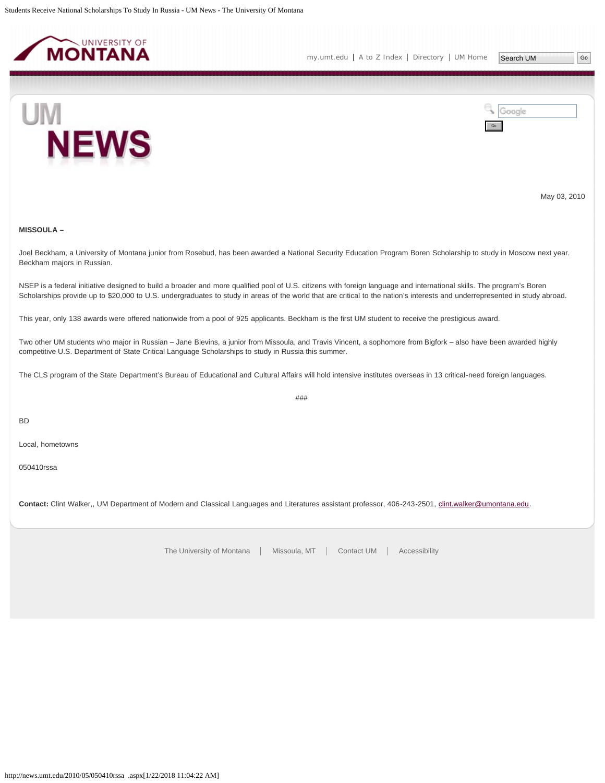<span id="page-42-0"></span>



May 03, 2010

### **MISSOULA –**

Joel Beckham, a University of Montana junior from Rosebud, has been awarded a National Security Education Program Boren Scholarship to study in Moscow next year. Beckham majors in Russian.

NSEP is a federal initiative designed to build a broader and more qualified pool of U.S. citizens with foreign language and international skills. The program's Boren Scholarships provide up to \$20,000 to U.S. undergraduates to study in areas of the world that are critical to the nation's interests and underrepresented in study abroad.

This year, only 138 awards were offered nationwide from a pool of 925 applicants. Beckham is the first UM student to receive the prestigious award.

Two other UM students who major in Russian – Jane Blevins, a junior from Missoula, and Travis Vincent, a sophomore from Bigfork – also have been awarded highly competitive U.S. Department of State Critical Language Scholarships to study in Russia this summer.

The CLS program of the State Department's Bureau of Educational and Cultural Affairs will hold intensive institutes overseas in 13 critical-need foreign languages.

###

BD

Local, hometowns

050410rssa

**Contact:** Clint Walker,, UM Department of Modern and Classical Languages and Literatures assistant professor, 406-243-2501, [clint.walker@umontana.edu.](mailto:clint.walker@umontana.edu)